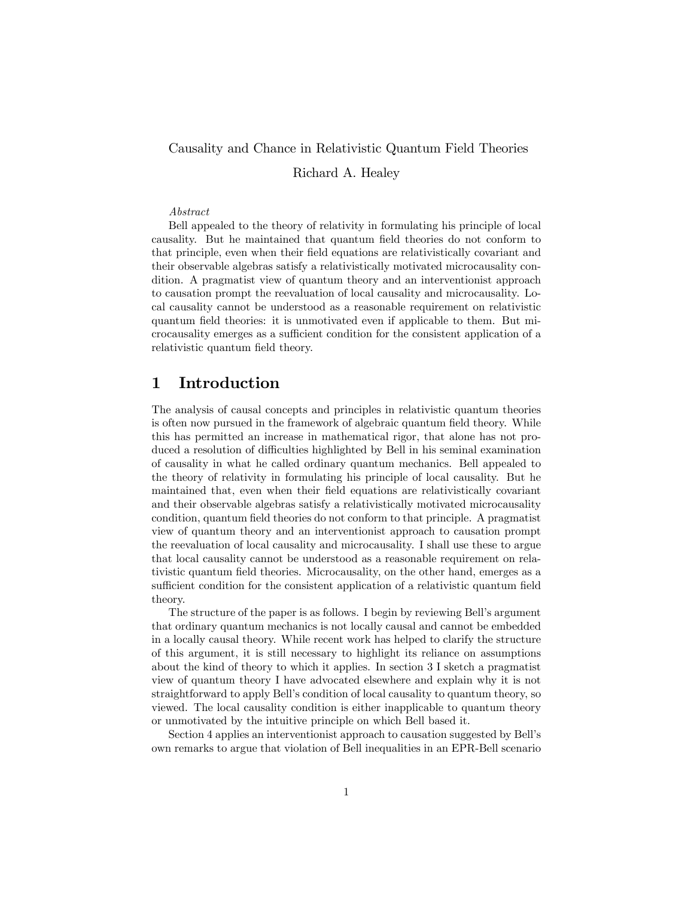#### Causality and Chance in Relativistic Quantum Field Theories

Richard A. Healey

#### Abstract

Bell appealed to the theory of relativity in formulating his principle of local causality. But he maintained that quantum field theories do not conform to that principle, even when their Öeld equations are relativistically covariant and their observable algebras satisfy a relativistically motivated microcausality condition. A pragmatist view of quantum theory and an interventionist approach to causation prompt the reevaluation of local causality and microcausality. Local causality cannot be understood as a reasonable requirement on relativistic quantum field theories: it is unmotivated even if applicable to them. But microcausality emerges as a sufficient condition for the consistent application of a relativistic quantum field theory.

## 1 Introduction

The analysis of causal concepts and principles in relativistic quantum theories is often now pursued in the framework of algebraic quantum field theory. While this has permitted an increase in mathematical rigor, that alone has not produced a resolution of difficulties highlighted by Bell in his seminal examination of causality in what he called ordinary quantum mechanics. Bell appealed to the theory of relativity in formulating his principle of local causality. But he maintained that, even when their Öeld equations are relativistically covariant and their observable algebras satisfy a relativistically motivated microcausality condition, quantum field theories do not conform to that principle. A pragmatist view of quantum theory and an interventionist approach to causation prompt the reevaluation of local causality and microcausality. I shall use these to argue that local causality cannot be understood as a reasonable requirement on relativistic quantum field theories. Microcausality, on the other hand, emerges as a sufficient condition for the consistent application of a relativistic quantum field theory.

The structure of the paper is as follows. I begin by reviewing Bell's argument that ordinary quantum mechanics is not locally causal and cannot be embedded in a locally causal theory. While recent work has helped to clarify the structure of this argument, it is still necessary to highlight its reliance on assumptions about the kind of theory to which it applies. In section 3 I sketch a pragmatist view of quantum theory I have advocated elsewhere and explain why it is not straightforward to apply Bell's condition of local causality to quantum theory, so viewed. The local causality condition is either inapplicable to quantum theory or unmotivated by the intuitive principle on which Bell based it.

Section 4 applies an interventionist approach to causation suggested by Bell's own remarks to argue that violation of Bell inequalities in an EPR-Bell scenario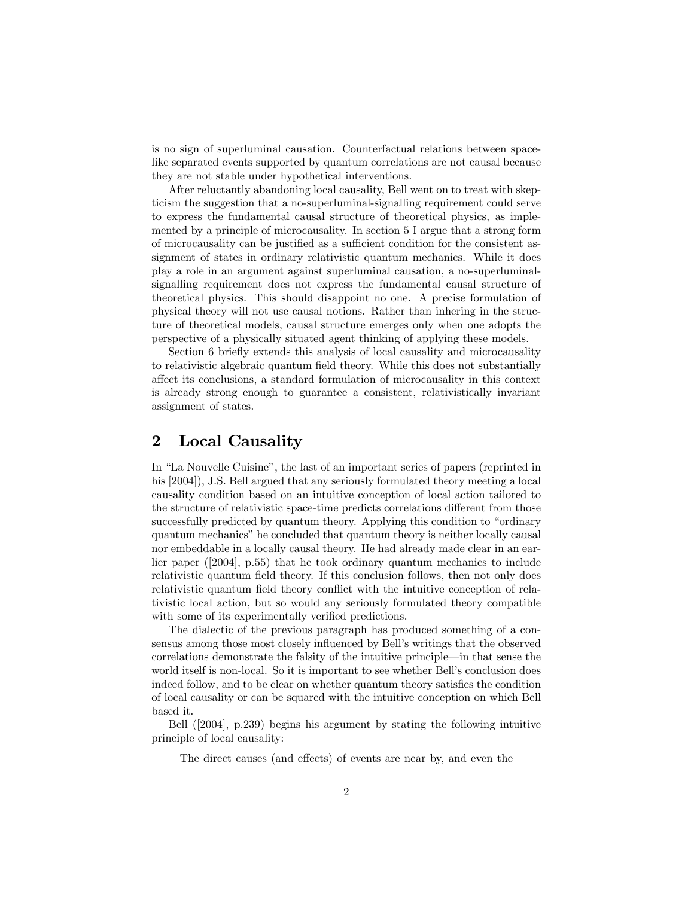is no sign of superluminal causation. Counterfactual relations between spacelike separated events supported by quantum correlations are not causal because they are not stable under hypothetical interventions.

After reluctantly abandoning local causality, Bell went on to treat with skepticism the suggestion that a no-superluminal-signalling requirement could serve to express the fundamental causal structure of theoretical physics, as implemented by a principle of microcausality. In section 5 I argue that a strong form of microcausality can be justified as a sufficient condition for the consistent assignment of states in ordinary relativistic quantum mechanics. While it does play a role in an argument against superluminal causation, a no-superluminalsignalling requirement does not express the fundamental causal structure of theoretical physics. This should disappoint no one. A precise formulation of physical theory will not use causal notions. Rather than inhering in the structure of theoretical models, causal structure emerges only when one adopts the perspective of a physically situated agent thinking of applying these models.

Section 6 briefly extends this analysis of local causality and microcausality to relativistic algebraic quantum field theory. While this does not substantially a§ect its conclusions, a standard formulation of microcausality in this context is already strong enough to guarantee a consistent, relativistically invariant assignment of states.

# 2 Local Causality

In "La Nouvelle Cuisine", the last of an important series of papers (reprinted in his [2004]), J.S. Bell argued that any seriously formulated theory meeting a local causality condition based on an intuitive conception of local action tailored to the structure of relativistic space-time predicts correlations different from those successfully predicted by quantum theory. Applying this condition to "ordinary" quantum mechanics" he concluded that quantum theory is neither locally causal nor embeddable in a locally causal theory. He had already made clear in an earlier paper ([2004], p.55) that he took ordinary quantum mechanics to include relativistic quantum field theory. If this conclusion follows, then not only does relativistic quantum field theory conflict with the intuitive conception of relativistic local action, but so would any seriously formulated theory compatible with some of its experimentally verified predictions.

The dialectic of the previous paragraph has produced something of a consensus among those most closely influenced by Bell's writings that the observed correlations demonstrate the falsity of the intuitive principle—in that sense the world itself is non-local. So it is important to see whether Bell's conclusion does indeed follow, and to be clear on whether quantum theory satisfies the condition of local causality or can be squared with the intuitive conception on which Bell based it.

Bell ([2004], p.239) begins his argument by stating the following intuitive principle of local causality:

The direct causes (and effects) of events are near by, and even the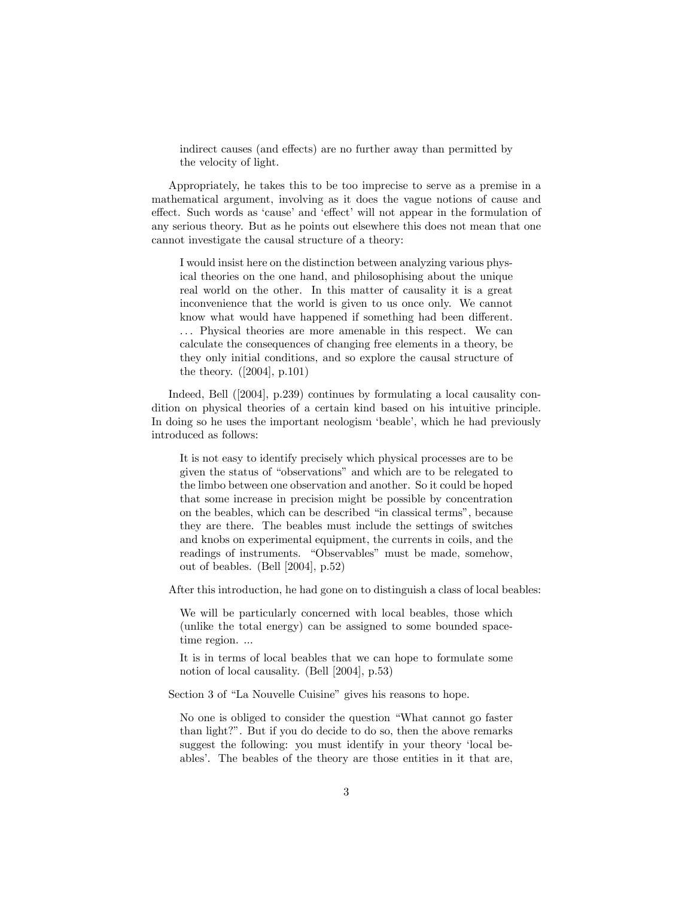indirect causes (and effects) are no further away than permitted by the velocity of light.

Appropriately, he takes this to be too imprecise to serve as a premise in a mathematical argument, involving as it does the vague notions of cause and effect. Such words as 'cause' and 'effect' will not appear in the formulation of any serious theory. But as he points out elsewhere this does not mean that one cannot investigate the causal structure of a theory:

I would insist here on the distinction between analyzing various physical theories on the one hand, and philosophising about the unique real world on the other. In this matter of causality it is a great inconvenience that the world is given to us once only. We cannot know what would have happened if something had been different. . . . Physical theories are more amenable in this respect. We can calculate the consequences of changing free elements in a theory, be they only initial conditions, and so explore the causal structure of the theory. ([2004], p.101)

Indeed, Bell ([2004], p.239) continues by formulating a local causality condition on physical theories of a certain kind based on his intuitive principle. In doing so he uses the important neologism 'beable', which he had previously introduced as follows:

It is not easy to identify precisely which physical processes are to be given the status of "observations" and which are to be relegated to the limbo between one observation and another. So it could be hoped that some increase in precision might be possible by concentration on the beables, which can be described "in classical terms", because they are there. The beables must include the settings of switches and knobs on experimental equipment, the currents in coils, and the readings of instruments. "Observables" must be made, somehow, out of beables. (Bell [2004], p.52)

After this introduction, he had gone on to distinguish a class of local beables:

We will be particularly concerned with local beables, those which (unlike the total energy) can be assigned to some bounded spacetime region. ...

It is in terms of local beables that we can hope to formulate some notion of local causality. (Bell [2004], p.53)

Section 3 of "La Nouvelle Cuisine" gives his reasons to hope.

No one is obliged to consider the question "What cannot go faster than light?î. But if you do decide to do so, then the above remarks suggest the following: you must identify in your theory 'local beables'. The beables of the theory are those entities in it that are,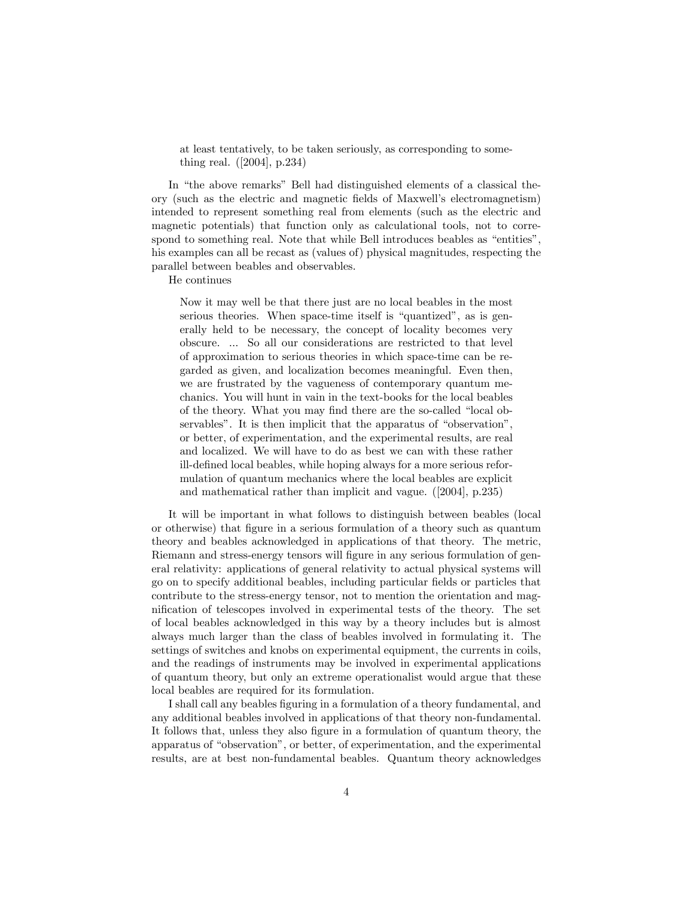at least tentatively, to be taken seriously, as corresponding to something real. ([2004], p.234)

In "the above remarks" Bell had distinguished elements of a classical theory (such as the electric and magnetic fields of Maxwell's electromagnetism) intended to represent something real from elements (such as the electric and magnetic potentials) that function only as calculational tools, not to correspond to something real. Note that while Bell introduces beables as "entities". his examples can all be recast as (values of) physical magnitudes, respecting the parallel between beables and observables.

He continues

Now it may well be that there just are no local beables in the most serious theories. When space-time itself is "quantized", as is generally held to be necessary, the concept of locality becomes very obscure. ... So all our considerations are restricted to that level of approximation to serious theories in which space-time can be regarded as given, and localization becomes meaningful. Even then, we are frustrated by the vagueness of contemporary quantum mechanics. You will hunt in vain in the text-books for the local beables of the theory. What you may find there are the so-called "local observables". It is then implicit that the apparatus of "observation", or better, of experimentation, and the experimental results, are real and localized. We will have to do as best we can with these rather ill-defined local beables, while hoping always for a more serious reformulation of quantum mechanics where the local beables are explicit and mathematical rather than implicit and vague. ([2004], p.235)

It will be important in what follows to distinguish between beables (local or otherwise) that Ögure in a serious formulation of a theory such as quantum theory and beables acknowledged in applications of that theory. The metric, Riemann and stress-energy tensors will figure in any serious formulation of general relativity: applications of general relativity to actual physical systems will go on to specify additional beables, including particular Öelds or particles that contribute to the stress-energy tensor, not to mention the orientation and magnification of telescopes involved in experimental tests of the theory. The set of local beables acknowledged in this way by a theory includes but is almost always much larger than the class of beables involved in formulating it. The settings of switches and knobs on experimental equipment, the currents in coils, and the readings of instruments may be involved in experimental applications of quantum theory, but only an extreme operationalist would argue that these local beables are required for its formulation.

I shall call any beables figuring in a formulation of a theory fundamental, and any additional beables involved in applications of that theory non-fundamental. It follows that, unless they also figure in a formulation of quantum theory, the apparatus of "observation", or better, of experimentation, and the experimental results, are at best non-fundamental beables. Quantum theory acknowledges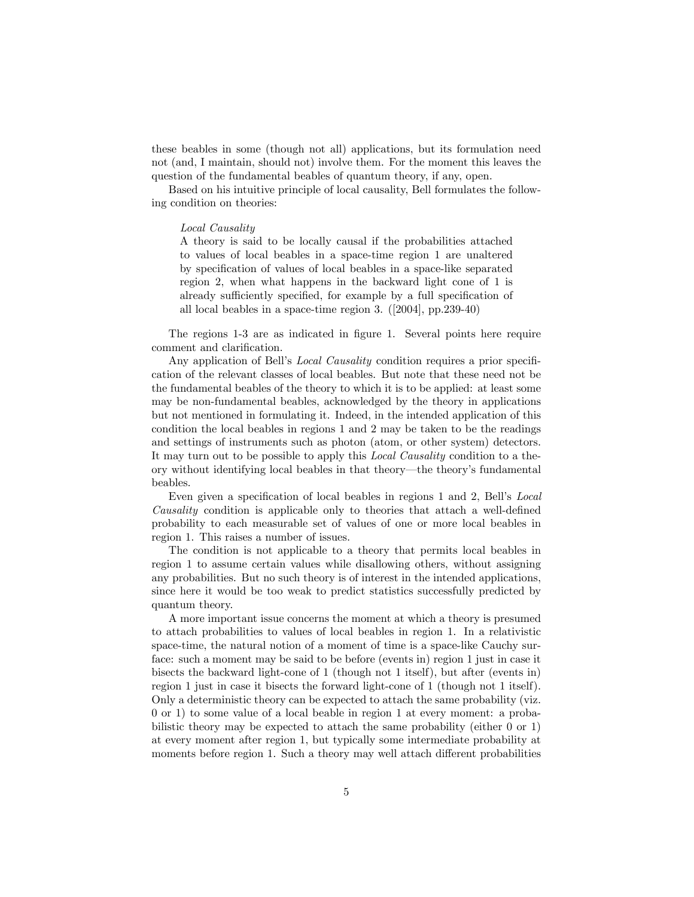these beables in some (though not all) applications, but its formulation need not (and, I maintain, should not) involve them. For the moment this leaves the question of the fundamental beables of quantum theory, if any, open.

Based on his intuitive principle of local causality, Bell formulates the following condition on theories:

#### Local Causality

A theory is said to be locally causal if the probabilities attached to values of local beables in a space-time region 1 are unaltered by specification of values of local beables in a space-like separated region 2, when what happens in the backward light cone of 1 is already sufficiently specified, for example by a full specification of all local beables in a space-time region 3. ([2004], pp.239-40)

The regions 1-3 are as indicated in figure 1. Several points here require comment and clarification.

Any application of Bell's *Local Causality* condition requires a prior specification of the relevant classes of local beables. But note that these need not be the fundamental beables of the theory to which it is to be applied: at least some may be non-fundamental beables, acknowledged by the theory in applications but not mentioned in formulating it. Indeed, in the intended application of this condition the local beables in regions 1 and 2 may be taken to be the readings and settings of instruments such as photon (atom, or other system) detectors. It may turn out to be possible to apply this Local Causality condition to a theory without identifying local beables in that theory—the theory's fundamental beables.

Even given a specification of local beables in regions 1 and 2, Bell's *Local* Causality condition is applicable only to theories that attach a well-defined probability to each measurable set of values of one or more local beables in region 1. This raises a number of issues.

The condition is not applicable to a theory that permits local beables in region 1 to assume certain values while disallowing others, without assigning any probabilities. But no such theory is of interest in the intended applications, since here it would be too weak to predict statistics successfully predicted by quantum theory.

A more important issue concerns the moment at which a theory is presumed to attach probabilities to values of local beables in region 1. In a relativistic space-time, the natural notion of a moment of time is a space-like Cauchy surface: such a moment may be said to be before (events in) region 1 just in case it bisects the backward light-cone of 1 (though not 1 itself), but after (events in) region 1 just in case it bisects the forward light-cone of 1 (though not 1 itself). Only a deterministic theory can be expected to attach the same probability (viz. 0 or 1) to some value of a local beable in region 1 at every moment: a probabilistic theory may be expected to attach the same probability (either 0 or 1) at every moment after region 1, but typically some intermediate probability at moments before region 1. Such a theory may well attach different probabilities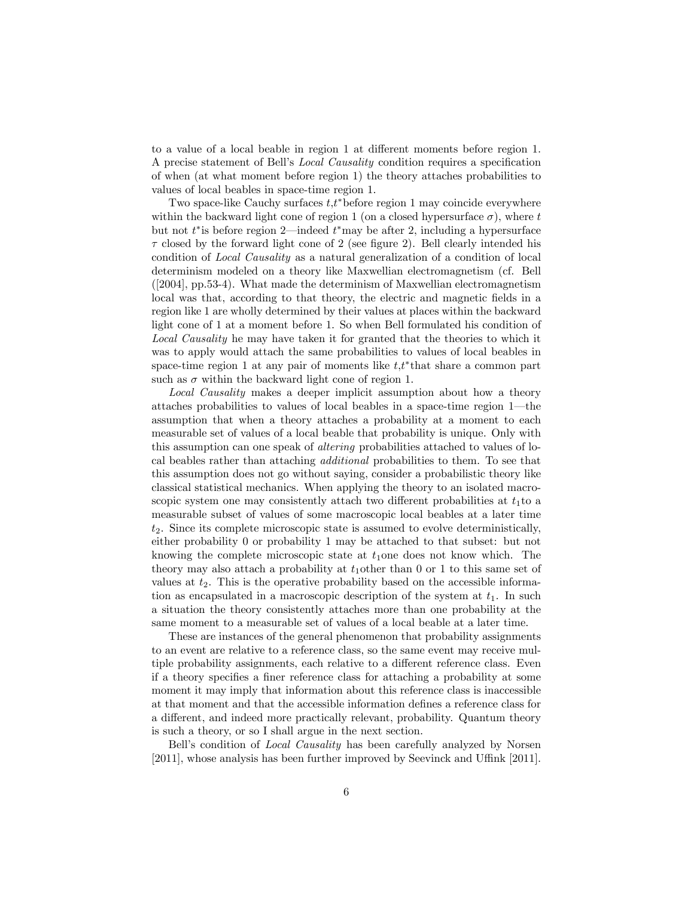to a value of a local beable in region 1 at different moments before region 1. A precise statement of Bell's *Local Causality* condition requires a specification of when (at what moment before region 1) the theory attaches probabilities to values of local beables in space-time region 1.

Two space-like Cauchy surfaces  $t, t^*$  before region 1 may coincide everywhere within the backward light cone of region 1 (on a closed hypersurface  $\sigma$ ), where t but not  $t^*$  is before region 2—indeed  $t^*$  may be after 2, including a hypersurface  $\tau$  closed by the forward light cone of 2 (see figure 2). Bell clearly intended his condition of Local Causality as a natural generalization of a condition of local determinism modeled on a theory like Maxwellian electromagnetism (cf. Bell  $(2004)$ , pp.53-4). What made the determinism of Maxwellian electromagnetism local was that, according to that theory, the electric and magnetic fields in a region like 1 are wholly determined by their values at places within the backward light cone of 1 at a moment before 1. So when Bell formulated his condition of Local Causality he may have taken it for granted that the theories to which it was to apply would attach the same probabilities to values of local beables in space-time region 1 at any pair of moments like  $t, t^*$  that share a common part such as  $\sigma$  within the backward light cone of region 1.

Local Causality makes a deeper implicit assumption about how a theory attaches probabilities to values of local beables in a space-time region  $1$ —the assumption that when a theory attaches a probability at a moment to each measurable set of values of a local beable that probability is unique. Only with this assumption can one speak of altering probabilities attached to values of local beables rather than attaching additional probabilities to them. To see that this assumption does not go without saying, consider a probabilistic theory like classical statistical mechanics. When applying the theory to an isolated macroscopic system one may consistently attach two different probabilities at  $t_1$  to a measurable subset of values of some macroscopic local beables at a later time  $t_2$ . Since its complete microscopic state is assumed to evolve deterministically, either probability 0 or probability 1 may be attached to that subset: but not knowing the complete microscopic state at  $t_1$ one does not know which. The theory may also attach a probability at  $t_1$ other than 0 or 1 to this same set of values at  $t_2$ . This is the operative probability based on the accessible information as encapsulated in a macroscopic description of the system at  $t_1$ . In such a situation the theory consistently attaches more than one probability at the same moment to a measurable set of values of a local beable at a later time.

These are instances of the general phenomenon that probability assignments to an event are relative to a reference class, so the same event may receive multiple probability assignments, each relative to a different reference class. Even if a theory specifies a finer reference class for attaching a probability at some moment it may imply that information about this reference class is inaccessible at that moment and that the accessible information defines a reference class for a different, and indeed more practically relevant, probability. Quantum theory is such a theory, or so I shall argue in the next section.

Bell's condition of *Local Causality* has been carefully analyzed by Norsen [2011], whose analysis has been further improved by Seevinck and Uffink [2011].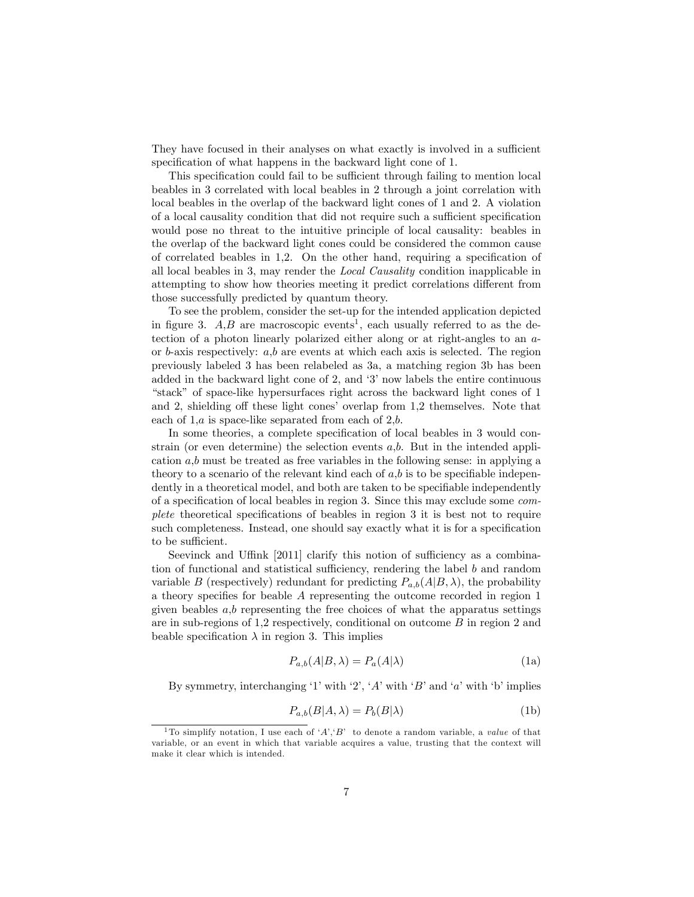They have focused in their analyses on what exactly is involved in a sufficient specification of what happens in the backward light cone of 1.

This specification could fail to be sufficient through failing to mention local beables in 3 correlated with local beables in 2 through a joint correlation with local beables in the overlap of the backward light cones of 1 and 2. A violation of a local causality condition that did not require such a sufficient specification would pose no threat to the intuitive principle of local causality: beables in the overlap of the backward light cones could be considered the common cause of correlated beables in  $1,2$ . On the other hand, requiring a specification of all local beables in 3, may render the Local Causality condition inapplicable in attempting to show how theories meeting it predict correlations different from those successfully predicted by quantum theory.

To see the problem, consider the set-up for the intended application depicted in figure 3.  $A,B$  are macroscopic events<sup>1</sup>, each usually referred to as the detection of a photon linearly polarized either along or at right-angles to an aor b-axis respectively:  $a, b$  are events at which each axis is selected. The region previously labeled 3 has been relabeled as 3a, a matching region 3b has been added in the backward light cone of 2, and  $3'$  now labels the entire continuous "stack" of space-like hypersurfaces right across the backward light cones of 1 and 2, shielding off these light cones' overlap from  $1,2$  themselves. Note that each of  $1,a$  is space-like separated from each of  $2,b$ .

In some theories, a complete specification of local beables in 3 would constrain (or even determine) the selection events  $a,b$ . But in the intended application a,b must be treated as free variables in the following sense: in applying a theory to a scenario of the relevant kind each of  $a,b$  is to be specifiable independently in a theoretical model, and both are taken to be specifiable independently of a specification of local beables in region 3. Since this may exclude some *com*plete theoretical specifications of beables in region  $3$  it is best not to require such completeness. Instead, one should say exactly what it is for a specification to be sufficient.

Seevinck and Uffink  $[2011]$  clarify this notion of sufficiency as a combination of functional and statistical sufficiency, rendering the label  $b$  and random variable B (respectively) redundant for predicting  $P_{a,b}(A|B,\lambda)$ , the probability a theory specifies for beable  $A$  representing the outcome recorded in region  $1$ given beables  $a,b$  representing the free choices of what the apparatus settings are in sub-regions of 1,2 respectively, conditional on outcome B in region 2 and beable specification  $\lambda$  in region 3. This implies

$$
P_{a,b}(A|B,\lambda) = P_a(A|\lambda)
$$
 (1a)

By symmetry, interchanging '1' with '2', 'A' with 'B' and 'a' with 'b' implies

$$
P_{a,b}(B|A,\lambda) = P_b(B|\lambda)
$$
 (1b)

<sup>&</sup>lt;sup>1</sup>To simplify notation, I use each of  $A$ ;  $B$ <sup>'</sup> to denote a random variable, a value of that variable, or an event in which that variable acquires a value, trusting that the context will make it clear which is intended.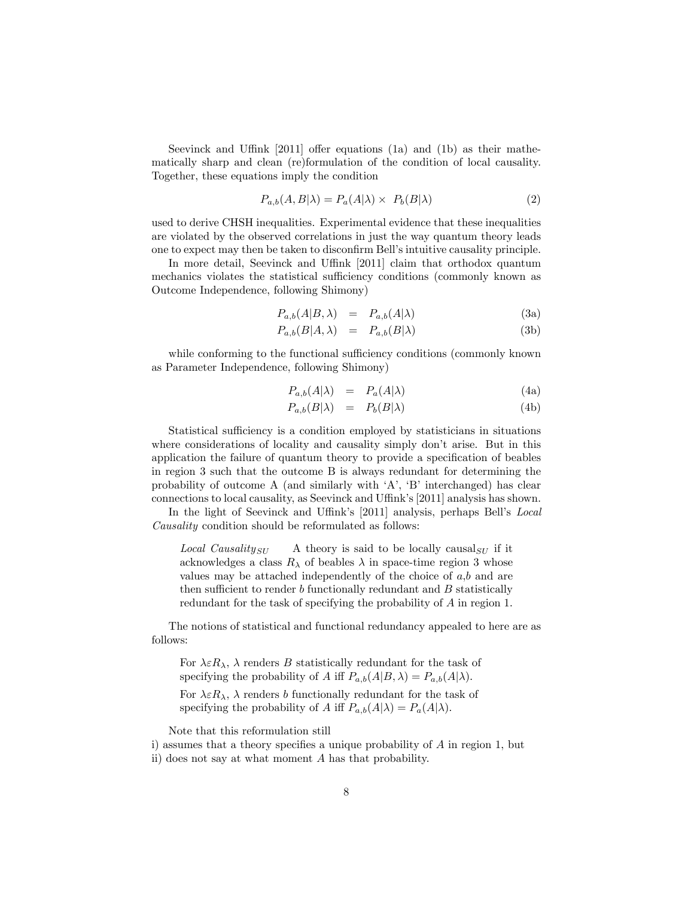Seevinck and Uffink [2011] offer equations (1a) and (1b) as their mathematically sharp and clean (re)formulation of the condition of local causality. Together, these equations imply the condition

$$
P_{a,b}(A,B|\lambda) = P_a(A|\lambda) \times P_b(B|\lambda)
$$
\n(2)

used to derive CHSH inequalities. Experimental evidence that these inequalities are violated by the observed correlations in just the way quantum theory leads one to expect may then be taken to disconfirm Bell's intuitive causality principle.

In more detail, Seevinck and Uffink [2011] claim that orthodox quantum mechanics violates the statistical sufficiency conditions (commonly known as Outcome Independence, following Shimony)

$$
P_{a,b}(A|B,\lambda) = P_{a,b}(A|\lambda)
$$
 (3a)

$$
P_{a,b}(B|A,\lambda) = P_{a,b}(B|\lambda)
$$
 (3b)

while conforming to the functional sufficiency conditions (commonly known as Parameter Independence, following Shimony)

$$
P_{a,b}(A|\lambda) = P_a(A|\lambda) \tag{4a}
$$

$$
P_{a,b}(B|\lambda) = P_b(B|\lambda) \tag{4b}
$$

Statistical sufficiency is a condition employed by statisticians in situations where considerations of locality and causality simply don't arise. But in this application the failure of quantum theory to provide a specification of beables in region 3 such that the outcome B is always redundant for determining the probability of outcome A (and similarly with  $A$ ,  $B$  interchanged) has clear connections to local causality, as Seevinck and Uffink's [2011] analysis has shown.

In the light of Seevinck and Uffink's [2011] analysis, perhaps Bell's *Local* Causality condition should be reformulated as follows:

*Local Causality*<sub>SU</sub> A theory is said to be locally causal<sub>SU</sub> if it acknowledges a class  $R_{\lambda}$  of beables  $\lambda$  in space-time region 3 whose values may be attached independently of the choice of  $a,b$  and are then sufficient to render b functionally redundant and  $B$  statistically redundant for the task of specifying the probability of A in region 1.

The notions of statistical and functional redundancy appealed to here are as follows:

For  $\lambda \varepsilon R_{\lambda}$ ,  $\lambda$  renders B statistically redundant for the task of specifying the probability of A iff  $P_{a,b}(A|B,\lambda) = P_{a,b}(A|\lambda)$ . For  $\lambda \in R_{\lambda}$ ,  $\lambda$  renders b functionally redundant for the task of

specifying the probability of A iff  $P_{a,b}(A|\lambda) = P_a(A|\lambda)$ .

Note that this reformulation still

i) assumes that a theory specifies a unique probability of  $A$  in region 1, but

ii) does not say at what moment A has that probability.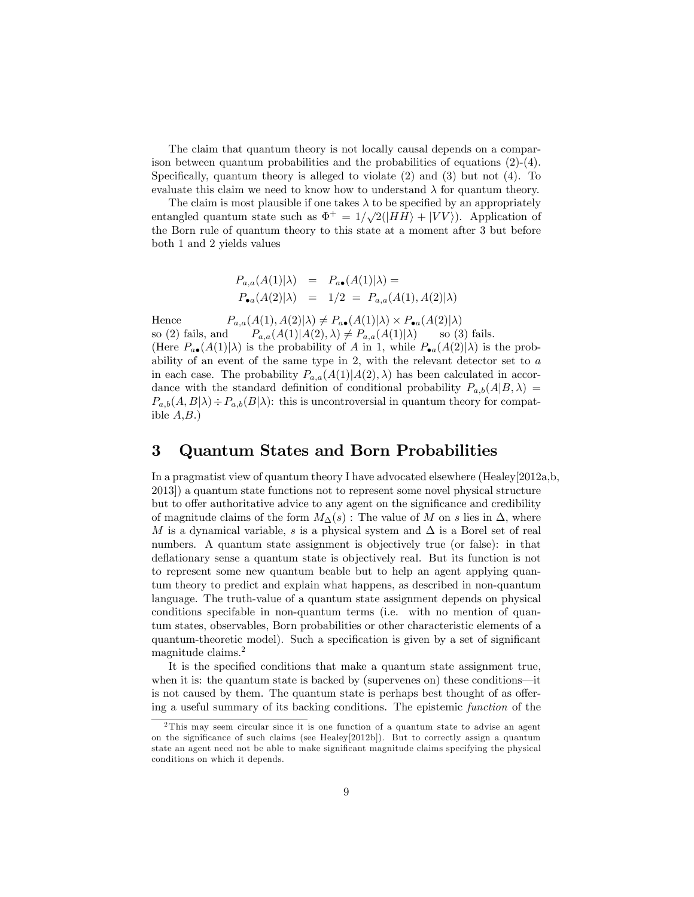The claim that quantum theory is not locally causal depends on a comparison between quantum probabilities and the probabilities of equations (2)-(4). Specifically, quantum theory is alleged to violate  $(2)$  and  $(3)$  but not  $(4)$ . To evaluate this claim we need to know how to understand  $\lambda$  for quantum theory.

The claim is most plausible if one takes  $\lambda$  to be specified by an appropriately entangled quantum state such as  $\Phi^+ = 1/\sqrt{2(|HH\rangle + |VV\rangle})$ . Application of the Born rule of quantum theory to this state at a moment after 3 but before both 1 and 2 yields values

$$
P_{a,a}(A(1)|\lambda) = P_{a\bullet}(A(1)|\lambda) =
$$
  
\n
$$
P_{\bullet a}(A(2)|\lambda) = 1/2 = P_{a,a}(A(1), A(2)|\lambda)
$$

Hence  $P_{a,a}(A(1), A(2)|\lambda) \neq P_{a\bullet}(A(1)|\lambda) \times P_{\bullet a}(A(2)|\lambda)$ so (2) fails, and  $P_{a,a}(A(1)|A(2),\lambda) \neq P_{a,a}(A(1)|\lambda)$  so (3) fails. (Here  $P_{a\bullet}(A(1)|\lambda)$  is the probability of A in 1, while  $P_{\bullet a}(A(2)|\lambda)$  is the probability of an event of the same type in 2, with the relevant detector set to a in each case. The probability  $P_{a,a}(A(1)|A(2),\lambda)$  has been calculated in accordance with the standard definition of conditional probability  $P_{a,b}(A|B,\lambda) =$  $P_{a,b}(A, B|\lambda) \div P_{a,b}(B|\lambda)$ : this is uncontroversial in quantum theory for compatible  $A,B.$ )

## 3 Quantum States and Born Probabilities

In a pragmatist view of quantum theory I have advocated elsewhere (Healey[2012a,b, 2013]) a quantum state functions not to represent some novel physical structure but to offer authoritative advice to any agent on the significance and credibility of magnitude claims of the form  $M_{\Delta}(s)$ : The value of M on s lies in  $\Delta$ , where M is a dynamical variable, s is a physical system and  $\Delta$  is a Borel set of real numbers. A quantum state assignment is objectively true (or false): in that deflationary sense a quantum state is objectively real. But its function is not to represent some new quantum beable but to help an agent applying quantum theory to predict and explain what happens, as described in non-quantum language. The truth-value of a quantum state assignment depends on physical conditions specifable in non-quantum terms (i.e. with no mention of quantum states, observables, Born probabilities or other characteristic elements of a quantum-theoretic model). Such a specification is given by a set of significant magnitude claims.<sup>2</sup>

It is the specified conditions that make a quantum state assignment true, when it is: the quantum state is backed by (supervenes on) these conditions—it is not caused by them. The quantum state is perhaps best thought of as offering a useful summary of its backing conditions. The epistemic function of the

<sup>2</sup> This may seem circular since it is one function of a quantum state to advise an agent on the significance of such claims (see Healey $[2012b]$ ). But to correctly assign a quantum state an agent need not be able to make significant magnitude claims specifying the physical conditions on which it depends.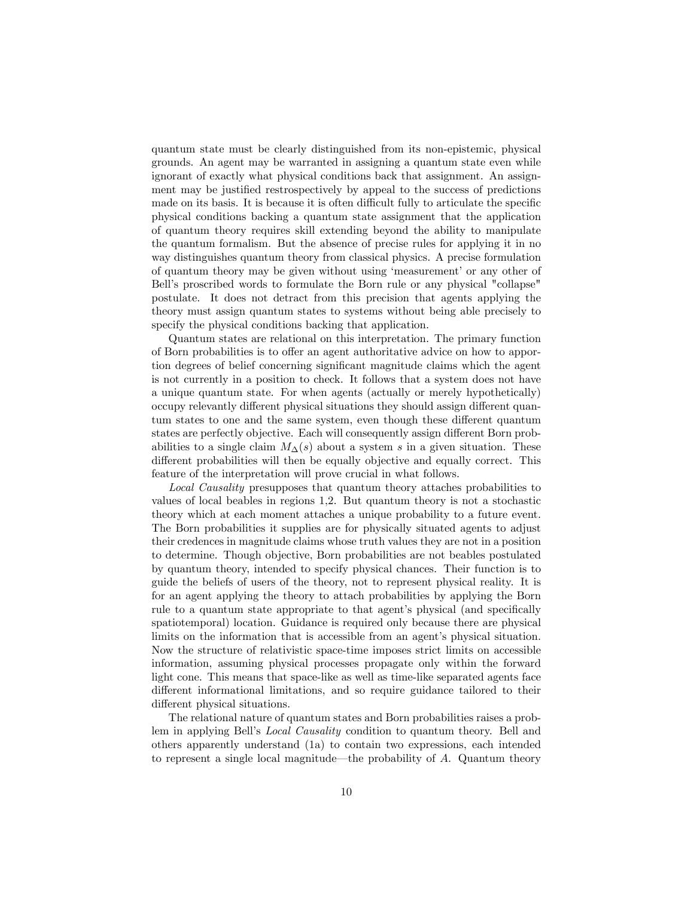quantum state must be clearly distinguished from its non-epistemic, physical grounds. An agent may be warranted in assigning a quantum state even while ignorant of exactly what physical conditions back that assignment. An assignment may be justified restrospectively by appeal to the success of predictions made on its basis. It is because it is often difficult fully to articulate the specific physical conditions backing a quantum state assignment that the application of quantum theory requires skill extending beyond the ability to manipulate the quantum formalism. But the absence of precise rules for applying it in no way distinguishes quantum theory from classical physics. A precise formulation of quantum theory may be given without using 'measurement' or any other of Bellís proscribed words to formulate the Born rule or any physical "collapse" postulate. It does not detract from this precision that agents applying the theory must assign quantum states to systems without being able precisely to specify the physical conditions backing that application.

Quantum states are relational on this interpretation. The primary function of Born probabilities is to offer an agent authoritative advice on how to apportion degrees of belief concerning significant magnitude claims which the agent is not currently in a position to check. It follows that a system does not have a unique quantum state. For when agents (actually or merely hypothetically) occupy relevantly different physical situations they should assign different quantum states to one and the same system, even though these different quantum states are perfectly objective. Each will consequently assign different Born probabilities to a single claim  $M_{\Delta}(s)$  about a system s in a given situation. These different probabilities will then be equally objective and equally correct. This feature of the interpretation will prove crucial in what follows.

Local Causality presupposes that quantum theory attaches probabilities to values of local beables in regions 1,2. But quantum theory is not a stochastic theory which at each moment attaches a unique probability to a future event. The Born probabilities it supplies are for physically situated agents to adjust their credences in magnitude claims whose truth values they are not in a position to determine. Though objective, Born probabilities are not beables postulated by quantum theory, intended to specify physical chances. Their function is to guide the beliefs of users of the theory, not to represent physical reality. It is for an agent applying the theory to attach probabilities by applying the Born rule to a quantum state appropriate to that agent's physical (and specifically spatiotemporal) location. Guidance is required only because there are physical limits on the information that is accessible from an agent's physical situation. Now the structure of relativistic space-time imposes strict limits on accessible information, assuming physical processes propagate only within the forward light cone. This means that space-like as well as time-like separated agents face different informational limitations, and so require guidance tailored to their different physical situations.

The relational nature of quantum states and Born probabilities raises a problem in applying Bell's *Local Causality* condition to quantum theory. Bell and others apparently understand (1a) to contain two expressions, each intended to represent a single local magnitude—the probability of  $A$ . Quantum theory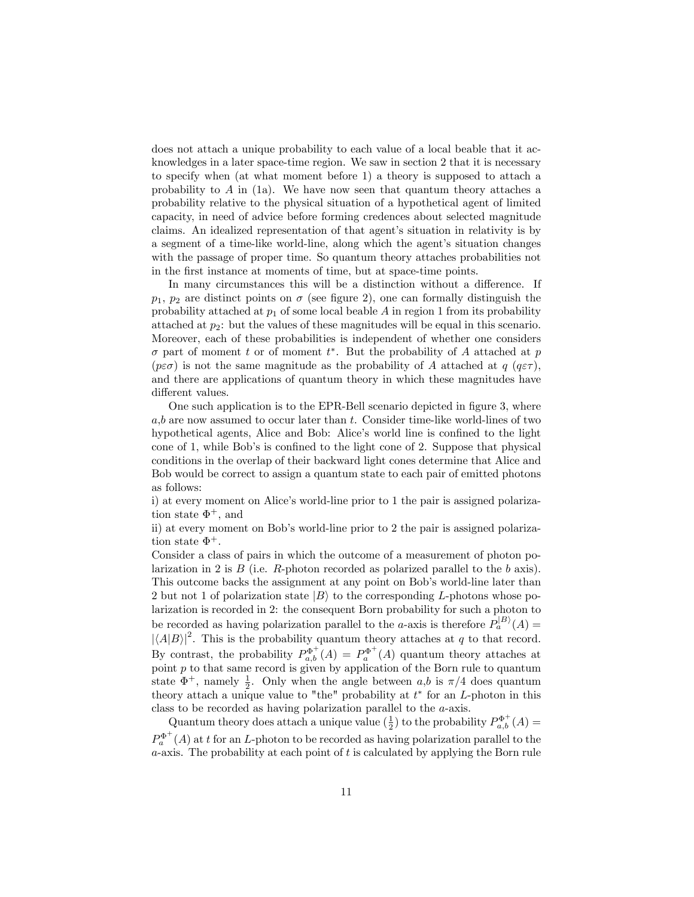does not attach a unique probability to each value of a local beable that it acknowledges in a later space-time region. We saw in section 2 that it is necessary to specify when (at what moment before 1) a theory is supposed to attach a probability to  $A$  in (1a). We have now seen that quantum theory attaches a probability relative to the physical situation of a hypothetical agent of limited capacity, in need of advice before forming credences about selected magnitude claims. An idealized representation of that agent's situation in relativity is by a segment of a time-like world-line, along which the agent's situation changes with the passage of proper time. So quantum theory attaches probabilities not in the Örst instance at moments of time, but at space-time points.

In many circumstances this will be a distinction without a difference. If  $p_1, p_2$  are distinct points on  $\sigma$  (see figure 2), one can formally distinguish the probability attached at  $p_1$  of some local beable  $A$  in region 1 from its probability attached at  $p_2$ : but the values of these magnitudes will be equal in this scenario. Moreover, each of these probabilities is independent of whether one considers  $\sigma$  part of moment t or of moment t<sup>\*</sup>. But the probability of A attached at p  $(p \varepsilon \sigma)$  is not the same magnitude as the probability of A attached at  $q$  ( $q \varepsilon \tau$ ), and there are applications of quantum theory in which these magnitudes have different values.

One such application is to the EPR-Bell scenario depicted in figure 3, where  $a,b$  are now assumed to occur later than t. Consider time-like world-lines of two hypothetical agents, Alice and Bob: Alice's world line is confined to the light cone of 1, while Bob's is confined to the light cone of 2. Suppose that physical conditions in the overlap of their backward light cones determine that Alice and Bob would be correct to assign a quantum state to each pair of emitted photons as follows:

i) at every moment on Alice's world-line prior to 1 the pair is assigned polarization state  $\Phi^+$ , and

ii) at every moment on Bob's world-line prior to 2 the pair is assigned polarization state  $\Phi^+$ .

Consider a class of pairs in which the outcome of a measurement of photon polarization in 2 is  $B$  (i.e.  $R$ -photon recorded as polarized parallel to the  $b$  axis). This outcome backs the assignment at any point on Bob's world-line later than 2 but not 1 of polarization state  $|B\rangle$  to the corresponding L-photons whose polarization is recorded in 2: the consequent Born probability for such a photon to be recorded as having polarization parallel to the *a*-axis is therefore  $P_a^{|B\rangle}(A) =$  $|\langle A|B\rangle|^2$ . This is the probability quantum theory attaches at q to that record. By contrast, the probability  $P_{a,b}^{\Phi^+}(A) = P_a^{\Phi^+}(A)$  quantum theory attaches at point p to that same record is given by application of the Born rule to quantum state  $\Phi^+$ , namely  $\frac{1}{2}$ . Only when the angle between a,b is  $\pi/4$  does quantum theory attach a unique value to "the" probability at  $t^*$  for an L-photon in this class to be recorded as having polarization parallel to the a-axis.

Quantum theory does attach a unique value  $(\frac{1}{2})$  to the probability  $P_{a,b}^{\Phi^+}(A)$  =  $P_a^{\Phi^+}(A)$  at t for an L-photon to be recorded as having polarization parallel to the  $a$ -axis. The probability at each point of  $t$  is calculated by applying the Born rule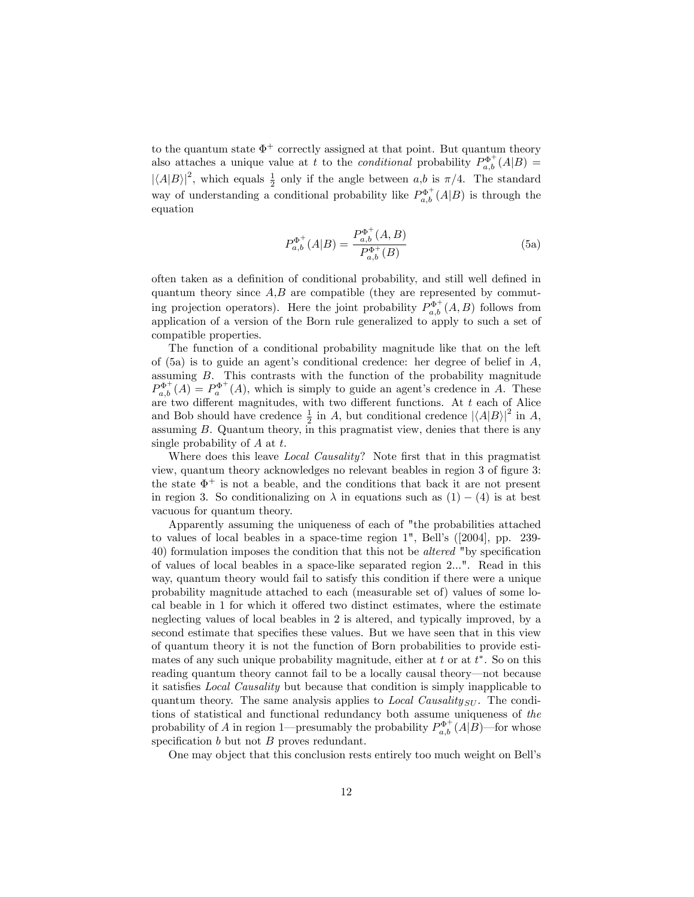to the quantum state  $\Phi^+$  correctly assigned at that point. But quantum theory also attaches a unique value at t to the *conditional* probability  $P_{a,b}^{\Phi^+}(A|B)$  =  $|\langle A|B\rangle|^2$ , which equals  $\frac{1}{2}$  only if the angle between a,b is  $\pi/4$ . The standard way of understanding a conditional probability like  $P_{a,b}^{\Phi^+}(A|B)$  is through the equation

$$
P_{a,b}^{\Phi^+}(A|B) = \frac{P_{a,b}^{\Phi^+}(A,B)}{P_{a,b}^{\Phi^+}(B)}
$$
(5a)

often taken as a definition of conditional probability, and still well defined in quantum theory since  $A,B$  are compatible (they are represented by commuting projection operators). Here the joint probability  $P_{a,b}^{\Phi^+}(A, B)$  follows from application of a version of the Born rule generalized to apply to such a set of compatible properties.

The function of a conditional probability magnitude like that on the left of  $(5a)$  is to guide an agent's conditional credence: her degree of belief in A, assuming B. This contrasts with the function of the probability magnitude  $P_{a,b}^{\Phi^+}(A) = P_a^{\Phi^+}(A)$ , which is simply to guide an agent's credence in A. These are two different magnitudes, with two different functions. At  $t$  each of Alice and Bob should have credence  $\frac{1}{2}$  in A, but conditional credence  $|\langle A|B \rangle|^2$  in A, assuming B. Quantum theory, in this pragmatist view, denies that there is any single probability of  $A$  at  $t$ .

Where does this leave *Local Causality*? Note first that in this pragmatist view, quantum theory acknowledges no relevant beables in region 3 of figure 3: the state  $\Phi^+$  is not a beable, and the conditions that back it are not present in region 3. So conditionalizing on  $\lambda$  in equations such as  $(1) - (4)$  is at best vacuous for quantum theory.

Apparently assuming the uniqueness of each of "the probabilities attached to values of local beables in a space-time region 1", Bellís ([2004], pp. 239- 40) formulation imposes the condition that this not be *altered* "by specification of values of local beables in a space-like separated region 2...". Read in this way, quantum theory would fail to satisfy this condition if there were a unique probability magnitude attached to each (measurable set of) values of some local beable in 1 for which it offered two distinct estimates, where the estimate neglecting values of local beables in 2 is altered, and typically improved, by a second estimate that specifies these values. But we have seen that in this view of quantum theory it is not the function of Born probabilities to provide estimates of any such unique probability magnitude, either at  $t$  or at  $t^*$ . So on this reading quantum theory cannot fail to be a locally causal theory—not because it satisfies *Local Causality* but because that condition is simply inapplicable to quantum theory. The same analysis applies to *Local Causality<sub>SU</sub>*. The conditions of statistical and functional redundancy both assume uniqueness of the probability of A in region 1—presumably the probability  $P_{a,b}^{\Phi^+}(A|B)$ —for whose specification  $b$  but not  $B$  proves redundant.

One may object that this conclusion rests entirely too much weight on Bellís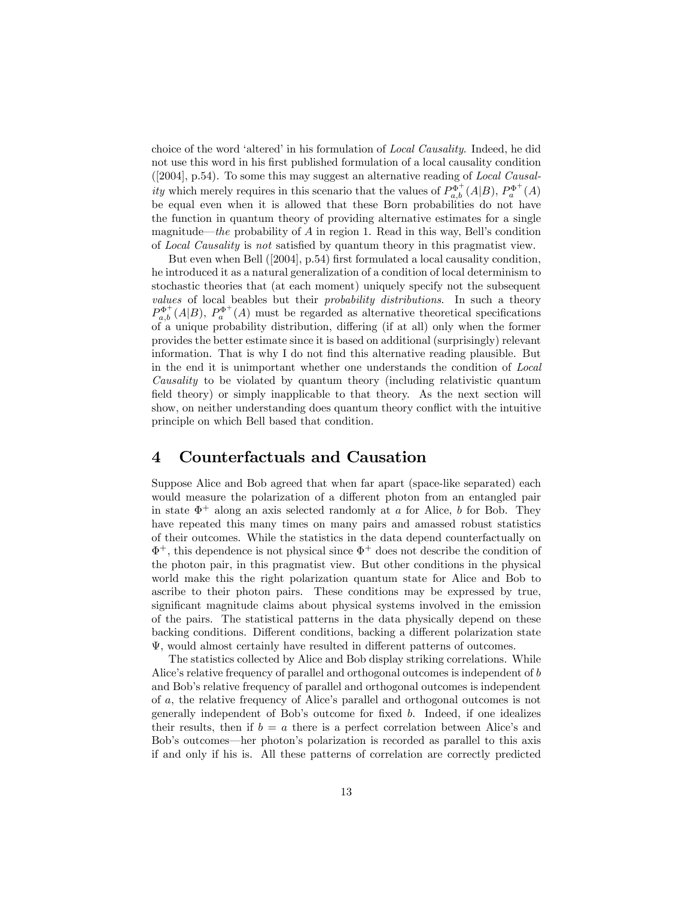choice of the word 'altered' in his formulation of *Local Causality*. Indeed, he did not use this word in his first published formulation of a local causality condition ([2004], p.54). To some this may suggest an alternative reading of Local Causality which merely requires in this scenario that the values of  $P_{a,b}^{\Phi^+}(A|B)$ ,  $P_a^{\Phi^+}(A)$ be equal even when it is allowed that these Born probabilities do not have the function in quantum theory of providing alternative estimates for a single magnitude—the probability of A in region 1. Read in this way, Bell's condition of Local Causality is not satisfied by quantum theory in this pragmatist view.

But even when Bell ([2004], p.54) Örst formulated a local causality condition, he introduced it as a natural generalization of a condition of local determinism to stochastic theories that (at each moment) uniquely specify not the subsequent values of local beables but their *probability distributions*. In such a theory  $P_{a,b}^{\Phi^+}(A|B)$ ,  $P_a^{\Phi^+}(A)$  must be regarded as alternative theoretical specifications of a unique probability distribution, differing (if at all) only when the former provides the better estimate since it is based on additional (surprisingly) relevant information. That is why I do not find this alternative reading plausible. But in the end it is unimportant whether one understands the condition of Local Causality to be violated by quantum theory (including relativistic quantum field theory) or simply inapplicable to that theory. As the next section will show, on neither understanding does quantum theory conflict with the intuitive principle on which Bell based that condition.

## 4 Counterfactuals and Causation

Suppose Alice and Bob agreed that when far apart (space-like separated) each would measure the polarization of a different photon from an entangled pair in state  $\Phi^+$  along an axis selected randomly at a for Alice, b for Bob. They have repeated this many times on many pairs and amassed robust statistics of their outcomes. While the statistics in the data depend counterfactually on  $\Phi^+$ , this dependence is not physical since  $\Phi^+$  does not describe the condition of the photon pair, in this pragmatist view. But other conditions in the physical world make this the right polarization quantum state for Alice and Bob to ascribe to their photon pairs. These conditions may be expressed by true, significant magnitude claims about physical systems involved in the emission of the pairs. The statistical patterns in the data physically depend on these backing conditions. Different conditions, backing a different polarization state  $\Psi$ , would almost certainly have resulted in different patterns of outcomes.

The statistics collected by Alice and Bob display striking correlations. While Alice's relative frequency of parallel and orthogonal outcomes is independent of  $b$ and Bobís relative frequency of parallel and orthogonal outcomes is independent of a, the relative frequency of Aliceís parallel and orthogonal outcomes is not generally independent of Bob's outcome for fixed b. Indeed, if one idealizes their results, then if  $b = a$  there is a perfect correlation between Alice's and Bob's outcomes—her photon's polarization is recorded as parallel to this axis if and only if his is. All these patterns of correlation are correctly predicted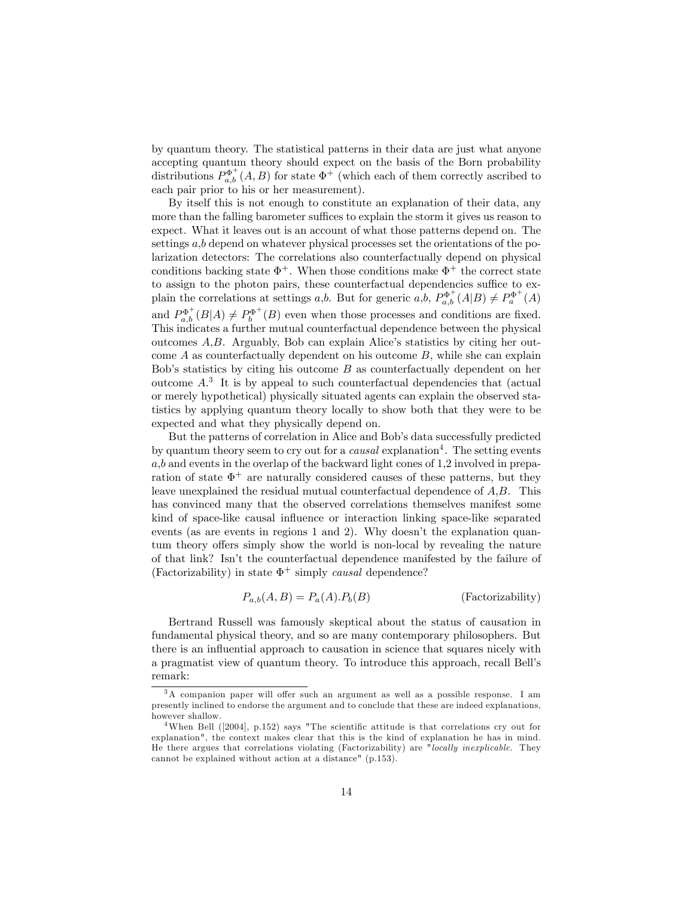by quantum theory. The statistical patterns in their data are just what anyone accepting quantum theory should expect on the basis of the Born probability distributions  $P_{a,b}^{\Phi^+}(A, B)$  for state  $\Phi^+$  (which each of them correctly ascribed to each pair prior to his or her measurement).

By itself this is not enough to constitute an explanation of their data, any more than the falling barometer suffices to explain the storm it gives us reason to expect. What it leaves out is an account of what those patterns depend on. The settings  $a,b$  depend on whatever physical processes set the orientations of the polarization detectors: The correlations also counterfactually depend on physical conditions backing state  $\Phi^+$ . When those conditions make  $\Phi^+$  the correct state to assign to the photon pairs, these counterfactual dependencies suffice to explain the correlations at settings a,b. But for generic a,b,  $P_{a,b}^{\Phi^+}(A|B) \neq P_a^{\Phi^+}(A)$ and  $P_{a,b}^{\Phi^+}(B|A) \neq P_b^{\Phi^+}(B)$  even when those processes and conditions are fixed. This indicates a further mutual counterfactual dependence between the physical outcomes  $A, B$ . Arguably, Bob can explain Alice's statistics by citing her outcome  $A$  as counterfactually dependent on his outcome  $B$ , while she can explain Bob's statistics by citing his outcome  $B$  as counterfactually dependent on her outcome  $A<sup>3</sup>$ . It is by appeal to such counterfactual dependencies that (actual or merely hypothetical) physically situated agents can explain the observed statistics by applying quantum theory locally to show both that they were to be expected and what they physically depend on.

But the patterns of correlation in Alice and Bob's data successfully predicted by quantum theory seem to cry out for a *causal* explanation<sup>4</sup>. The setting events a,b and events in the overlap of the backward light cones of 1,2 involved in preparation of state  $\Phi^+$  are naturally considered causes of these patterns, but they leave unexplained the residual mutual counterfactual dependence of A,B. This has convinced many that the observed correlations themselves manifest some kind of space-like causal influence or interaction linking space-like separated events (as are events in regions 1 and 2). Why doesn't the explanation quantum theory offers simply show the world is non-local by revealing the nature of that link? Isnít the counterfactual dependence manifested by the failure of (Factorizability) in state  $\Phi^+$  simply causal dependence?

$$
P_{a,b}(A,B) = P_a(A) \cdot P_b(B) \tag{Factorizability}
$$

Bertrand Russell was famously skeptical about the status of causation in fundamental physical theory, and so are many contemporary philosophers. But there is an influential approach to causation in science that squares nicely with a pragmatist view of quantum theory. To introduce this approach, recall Bellís remark:

 $3A$  companion paper will offer such an argument as well as a possible response. I am presently inclined to endorse the argument and to conclude that these are indeed explanations, however shallow.

<sup>&</sup>lt;sup>4</sup>When Bell ([2004], p.152) says "The scientific attitude is that correlations cry out for explanation", the context makes clear that this is the kind of explanation he has in mind. He there argues that correlations violating (Factorizability) are "locally inexplicable. They cannot be explained without action at a distance" (p.153).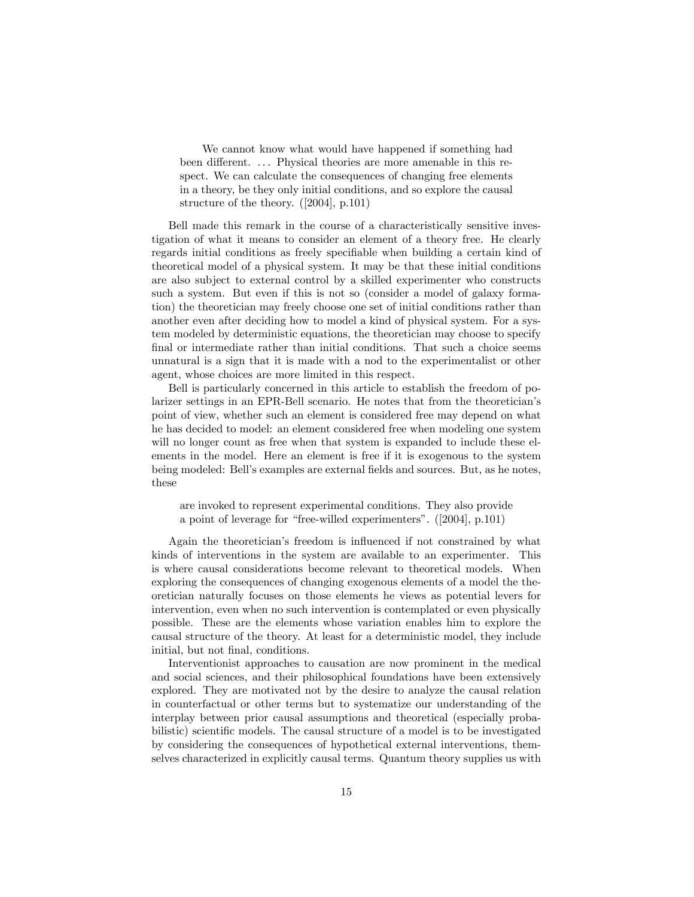We cannot know what would have happened if something had been different. ... Physical theories are more amenable in this respect. We can calculate the consequences of changing free elements in a theory, be they only initial conditions, and so explore the causal structure of the theory. ([2004], p.101)

Bell made this remark in the course of a characteristically sensitive investigation of what it means to consider an element of a theory free. He clearly regards initial conditions as freely specifiable when building a certain kind of theoretical model of a physical system. It may be that these initial conditions are also subject to external control by a skilled experimenter who constructs such a system. But even if this is not so (consider a model of galaxy formation) the theoretician may freely choose one set of initial conditions rather than another even after deciding how to model a kind of physical system. For a system modeled by deterministic equations, the theoretician may choose to specify final or intermediate rather than initial conditions. That such a choice seems unnatural is a sign that it is made with a nod to the experimentalist or other agent, whose choices are more limited in this respect.

Bell is particularly concerned in this article to establish the freedom of polarizer settings in an EPR-Bell scenario. He notes that from the theoretician's point of view, whether such an element is considered free may depend on what he has decided to model: an element considered free when modeling one system will no longer count as free when that system is expanded to include these elements in the model. Here an element is free if it is exogenous to the system being modeled: Bell's examples are external fields and sources. But, as he notes, these

are invoked to represent experimental conditions. They also provide a point of leverage for "free-willed experimenters".  $([2004], p.101)$ 

Again the theoretician's freedom is influenced if not constrained by what kinds of interventions in the system are available to an experimenter. This is where causal considerations become relevant to theoretical models. When exploring the consequences of changing exogenous elements of a model the theoretician naturally focuses on those elements he views as potential levers for intervention, even when no such intervention is contemplated or even physically possible. These are the elements whose variation enables him to explore the causal structure of the theory. At least for a deterministic model, they include initial, but not final, conditions.

Interventionist approaches to causation are now prominent in the medical and social sciences, and their philosophical foundations have been extensively explored. They are motivated not by the desire to analyze the causal relation in counterfactual or other terms but to systematize our understanding of the interplay between prior causal assumptions and theoretical (especially probabilistic) scientific models. The causal structure of a model is to be investigated by considering the consequences of hypothetical external interventions, themselves characterized in explicitly causal terms. Quantum theory supplies us with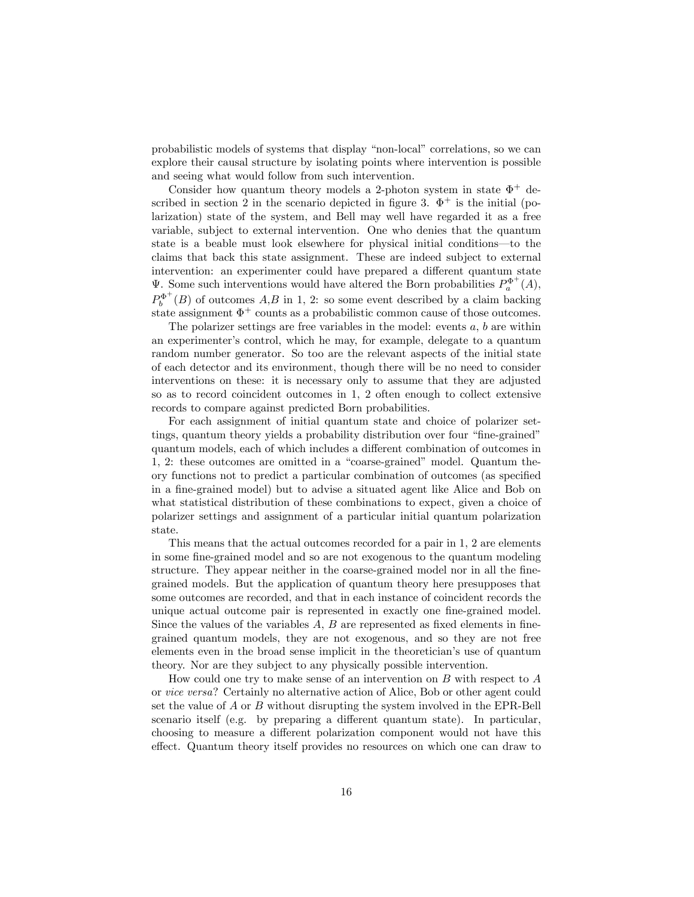probabilistic models of systems that display "non-local" correlations, so we can explore their causal structure by isolating points where intervention is possible and seeing what would follow from such intervention.

Consider how quantum theory models a 2-photon system in state  $\Phi^+$  described in section 2 in the scenario depicted in figure 3.  $\Phi^+$  is the initial (polarization) state of the system, and Bell may well have regarded it as a free variable, subject to external intervention. One who denies that the quantum state is a beable must look elsewhere for physical initial conditions—to the claims that back this state assignment. These are indeed subject to external intervention: an experimenter could have prepared a different quantum state  $\Psi$ . Some such interventions would have altered the Born probabilities  $P_a^{\Phi^+}(A)$ ,  $P_b^{\Phi^+}(B)$  of outcomes  $A, B$  in 1, 2: so some event described by a claim backing state assignment  $\Phi^+$  counts as a probabilistic common cause of those outcomes.

The polarizer settings are free variables in the model: events  $a, b$  are within an experimenterís control, which he may, for example, delegate to a quantum random number generator. So too are the relevant aspects of the initial state of each detector and its environment, though there will be no need to consider interventions on these: it is necessary only to assume that they are adjusted so as to record coincident outcomes in 1, 2 often enough to collect extensive records to compare against predicted Born probabilities.

For each assignment of initial quantum state and choice of polarizer settings, quantum theory yields a probability distribution over four "fine-grained" quantum models, each of which includes a different combination of outcomes in 1, 2: these outcomes are omitted in a "coarse-grained" model. Quantum theory functions not to predict a particular combination of outcomes (as specified in a fine-grained model) but to advise a situated agent like Alice and Bob on what statistical distribution of these combinations to expect, given a choice of polarizer settings and assignment of a particular initial quantum polarization state.

This means that the actual outcomes recorded for a pair in 1, 2 are elements in some fine-grained model and so are not exogenous to the quantum modeling structure. They appear neither in the coarse-grained model nor in all the finegrained models. But the application of quantum theory here presupposes that some outcomes are recorded, and that in each instance of coincident records the unique actual outcome pair is represented in exactly one fine-grained model. Since the values of the variables  $A, B$  are represented as fixed elements in finegrained quantum models, they are not exogenous, and so they are not free elements even in the broad sense implicit in the theoretician's use of quantum theory. Nor are they subject to any physically possible intervention.

How could one try to make sense of an intervention on  $B$  with respect to  $A$ or vice versa? Certainly no alternative action of Alice, Bob or other agent could set the value of A or B without disrupting the system involved in the EPR-Bell scenario itself (e.g. by preparing a different quantum state). In particular, choosing to measure a different polarization component would not have this effect. Quantum theory itself provides no resources on which one can draw to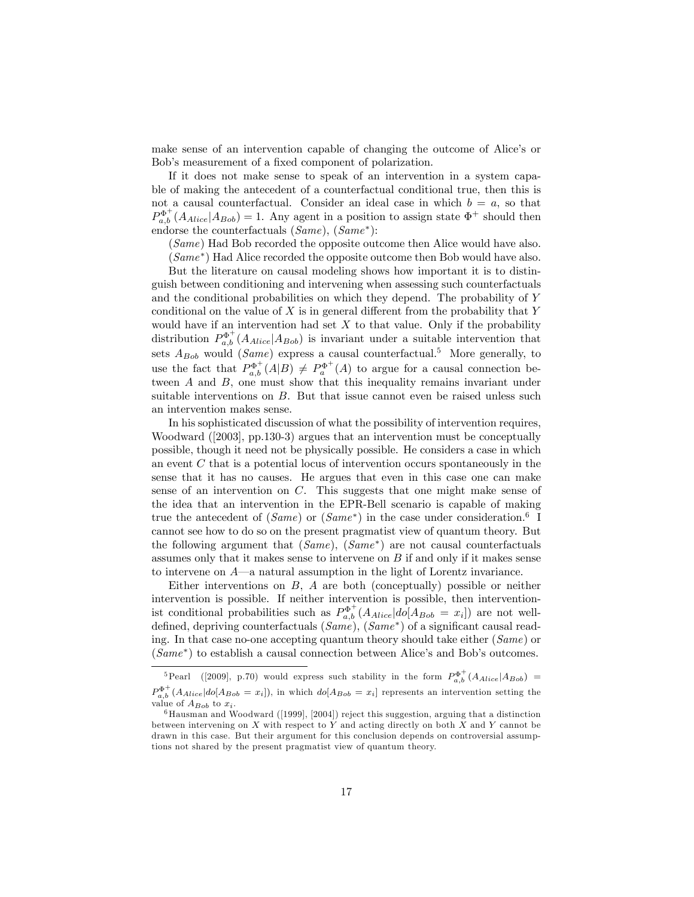make sense of an intervention capable of changing the outcome of Alice's or Bob's measurement of a fixed component of polarization.

If it does not make sense to speak of an intervention in a system capable of making the antecedent of a counterfactual conditional true, then this is not a causal counterfactual. Consider an ideal case in which  $b = a$ , so that  $P_{a,b}^{\Phi^+}(A_{Alice}|A_{Bob}) = 1$ . Any agent in a position to assign state  $\Phi^+$  should then endorse the counterfactuals  $(Same)$ ,  $(Same^*)$ :

(Same) Had Bob recorded the opposite outcome then Alice would have also.

(Same<sup>\*</sup>) Had Alice recorded the opposite outcome then Bob would have also.

But the literature on causal modeling shows how important it is to distinguish between conditioning and intervening when assessing such counterfactuals and the conditional probabilities on which they depend. The probability of Y conditional on the value of  $X$  is in general different from the probability that Y would have if an intervention had set  $X$  to that value. Only if the probability distribution  $P_{a,b}^{\Phi^+}(A_{Alice}|A_{Bob})$  is invariant under a suitable intervention that sets  $A_{Bob}$  would (*Same*) express a causal counterfactual.<sup>5</sup> More generally, to use the fact that  $P_{a,b}^{\Phi^+}(A|B) \neq P_a^{\Phi^+}(A)$  to argue for a causal connection between A and B, one must show that this inequality remains invariant under suitable interventions on B. But that issue cannot even be raised unless such an intervention makes sense.

In his sophisticated discussion of what the possibility of intervention requires, Woodward ([2003], pp.130-3) argues that an intervention must be conceptually possible, though it need not be physically possible. He considers a case in which an event  $C$  that is a potential locus of intervention occurs spontaneously in the sense that it has no causes. He argues that even in this case one can make sense of an intervention on C. This suggests that one might make sense of the idea that an intervention in the EPR-Bell scenario is capable of making true the antecedent of  $(Same)$  or  $(Same^*)$  in the case under consideration.<sup>6</sup> I cannot see how to do so on the present pragmatist view of quantum theory. But the following argument that  $(Same)$ ,  $(Same^*)$  are not causal counterfactuals assumes only that it makes sense to intervene on B if and only if it makes sense to intervene on  $A$ —a natural assumption in the light of Lorentz invariance.

Either interventions on  $B$ ,  $A$  are both (conceptually) possible or neither intervention is possible. If neither intervention is possible, then interventionist conditional probabilities such as  $P_{a,b}^{\Phi^+}(A_{Alice}|do[A_{Bob} = x_i])$  are not welldefined, depriving counterfactuals  $(Same)$ ,  $(Same^*)$  of a significant causal reading. In that case no-one accepting quantum theory should take either  $(Same)$  or  $(Same<sup>*</sup>)$  to establish a causal connection between Alice's and Bob's outcomes.

<sup>&</sup>lt;sup>5</sup>Pearl ([2009], p.70) would express such stability in the form  $P_{a,b}^{\Phi^+}(A_{Alice}|A_{Bob})$  =  $P_{a,b}^{\Phi^+}(A_{Alice}|do[A_{Bob} = x_i])$ , in which  $do[A_{Bob} = x_i]$  represents an intervention setting the value of  $A_{Bob}$  to  $x_i$ .

 $6$ Hausman and Woodward  $(1999, 2004)$  reject this suggestion, arguing that a distinction between intervening on  $X$  with respect to  $Y$  and acting directly on both  $X$  and  $Y$  cannot be drawn in this case. But their argument for this conclusion depends on controversial assumptions not shared by the present pragmatist view of quantum theory.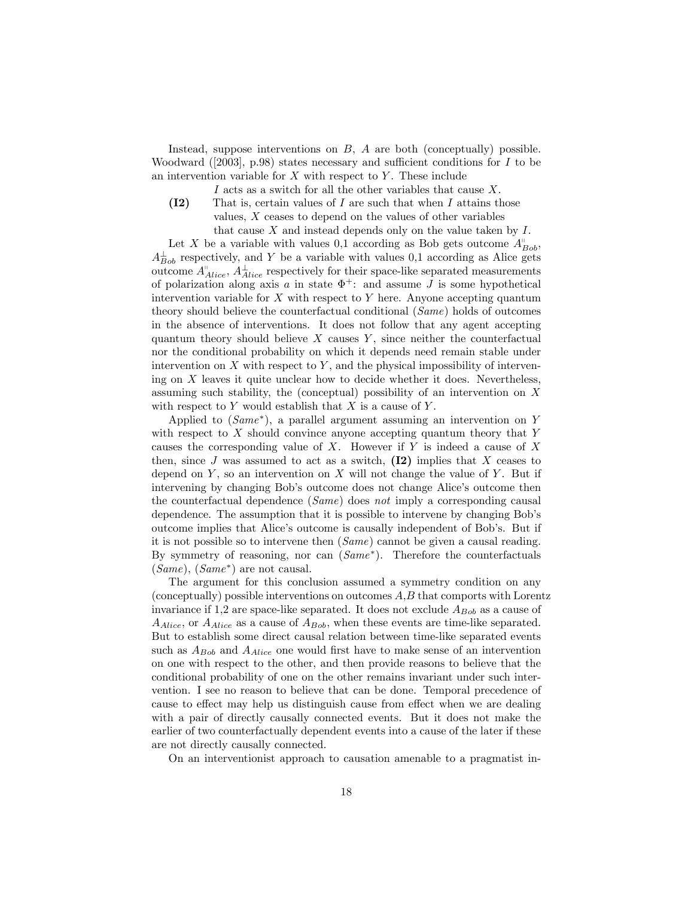Instead, suppose interventions on  $B$ ,  $A$  are both (conceptually) possible. Woodward ([2003], p.98) states necessary and sufficient conditions for  $I$  to be an intervention variable for  $X$  with respect to  $Y$ . These include

I acts as a switch for all the other variables that cause X.

 $(12)$  That is, certain values of I are such that when I attains those values,  $X$  ceases to depend on the values of other variables

that cause  $X$  and instead depends only on the value taken by  $I$ .

Let X be a variable with values 0,1 according as Bob gets outcome  $A_{Bob}^{\shortparallel}$ ,  $A^{\perp}_{Bob}$  respectively, and Y be a variable with values 0,1 according as Alice gets outcome  $A_{Alice}^{\shortparallel}$ ,  $A_{Alice}^{\perp}$  respectively for their space-like separated measurements of polarization along axis a in state  $\Phi^+$ : and assume J is some hypothetical intervention variable for  $X$  with respect to  $Y$  here. Anyone accepting quantum theory should believe the counterfactual conditional (Same) holds of outcomes in the absence of interventions. It does not follow that any agent accepting quantum theory should believe  $X$  causes  $Y$ , since neither the counterfactual nor the conditional probability on which it depends need remain stable under intervention on  $X$  with respect to  $Y$ , and the physical impossibility of intervening on  $X$  leaves it quite unclear how to decide whether it does. Nevertheless, assuming such stability, the (conceptual) possibility of an intervention on X with respect to  $Y$  would establish that  $X$  is a cause of  $Y$ .

Applied to  $(Same^*)$ , a parallel argument assuming an intervention on Y with respect to  $X$  should convince anyone accepting quantum theory that Y causes the corresponding value of  $X$ . However if  $Y$  is indeed a cause of  $X$ then, since  $J$  was assumed to act as a switch,  $(12)$  implies that  $X$  ceases to depend on  $Y$ , so an intervention on  $X$  will not change the value of  $Y$ . But if intervening by changing Bob's outcome does not change Alice's outcome then the counterfactual dependence (Same) does not imply a corresponding causal dependence. The assumption that it is possible to intervene by changing Bob's outcome implies that Alice's outcome is causally independent of Bob's. But if it is not possible so to intervene then (Same) cannot be given a causal reading. By symmetry of reasoning, nor can  $(Same^*)$ . Therefore the counterfactuals  $(Same)$ ,  $(Same^*)$  are not causal.

The argument for this conclusion assumed a symmetry condition on any (conceptually) possible interventions on outcomes  $A,B$  that comports with Lorentz invariance if 1,2 are space-like separated. It does not exclude  $A_{Bob}$  as a cause of  $A_{Alice}$ , or  $A_{Alice}$  as a cause of  $A_{Bob}$ , when these events are time-like separated. But to establish some direct causal relation between time-like separated events such as  $A_{Bob}$  and  $A_{Alice}$  one would first have to make sense of an intervention on one with respect to the other, and then provide reasons to believe that the conditional probability of one on the other remains invariant under such intervention. I see no reason to believe that can be done. Temporal precedence of cause to effect may help us distinguish cause from effect when we are dealing with a pair of directly causally connected events. But it does not make the earlier of two counterfactually dependent events into a cause of the later if these are not directly causally connected.

On an interventionist approach to causation amenable to a pragmatist in-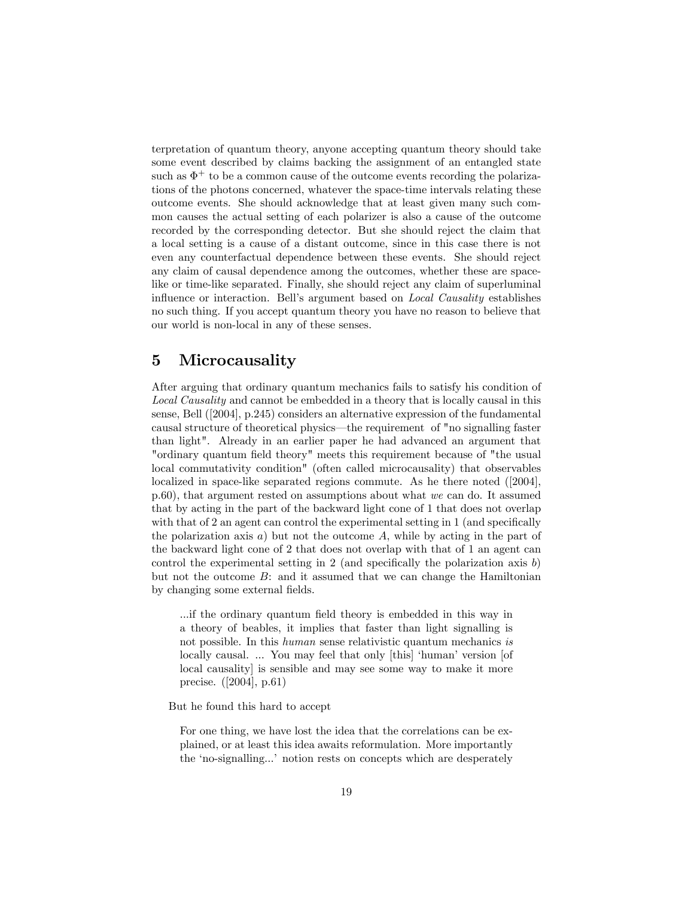terpretation of quantum theory, anyone accepting quantum theory should take some event described by claims backing the assignment of an entangled state such as  $\Phi^+$  to be a common cause of the outcome events recording the polarizations of the photons concerned, whatever the space-time intervals relating these outcome events. She should acknowledge that at least given many such common causes the actual setting of each polarizer is also a cause of the outcome recorded by the corresponding detector. But she should reject the claim that a local setting is a cause of a distant outcome, since in this case there is not even any counterfactual dependence between these events. She should reject any claim of causal dependence among the outcomes, whether these are spacelike or time-like separated. Finally, she should reject any claim of superluminal influence or interaction. Bell's argument based on *Local Causality* establishes no such thing. If you accept quantum theory you have no reason to believe that our world is non-local in any of these senses.

# 5 Microcausality

After arguing that ordinary quantum mechanics fails to satisfy his condition of Local Causality and cannot be embedded in a theory that is locally causal in this sense, Bell ([2004], p.245) considers an alternative expression of the fundamental causal structure of theoretical physics—the requirement of "no signalling faster than light". Already in an earlier paper he had advanced an argument that "ordinary quantum field theory" meets this requirement because of "the usual local commutativity condition" (often called microcausality) that observables localized in space-like separated regions commute. As he there noted ([2004], p.60), that argument rested on assumptions about what we can do. It assumed that by acting in the part of the backward light cone of 1 that does not overlap with that of 2 an agent can control the experimental setting in  $1$  (and specifically the polarization axis  $a$ ) but not the outcome  $A$ , while by acting in the part of the backward light cone of 2 that does not overlap with that of 1 an agent can control the experimental setting in 2 (and specifically the polarization axis b) but not the outcome  $B$ : and it assumed that we can change the Hamiltonian by changing some external fields.

...if the ordinary quantum field theory is embedded in this way in a theory of beables, it implies that faster than light signalling is not possible. In this *human* sense relativistic quantum mechanics is locally causal. ... You may feel that only [this] 'human' version [of local causality] is sensible and may see some way to make it more precise. ([2004], p.61)

But he found this hard to accept

For one thing, we have lost the idea that the correlations can be explained, or at least this idea awaits reformulation. More importantly the 'no-signalling...' notion rests on concepts which are desperately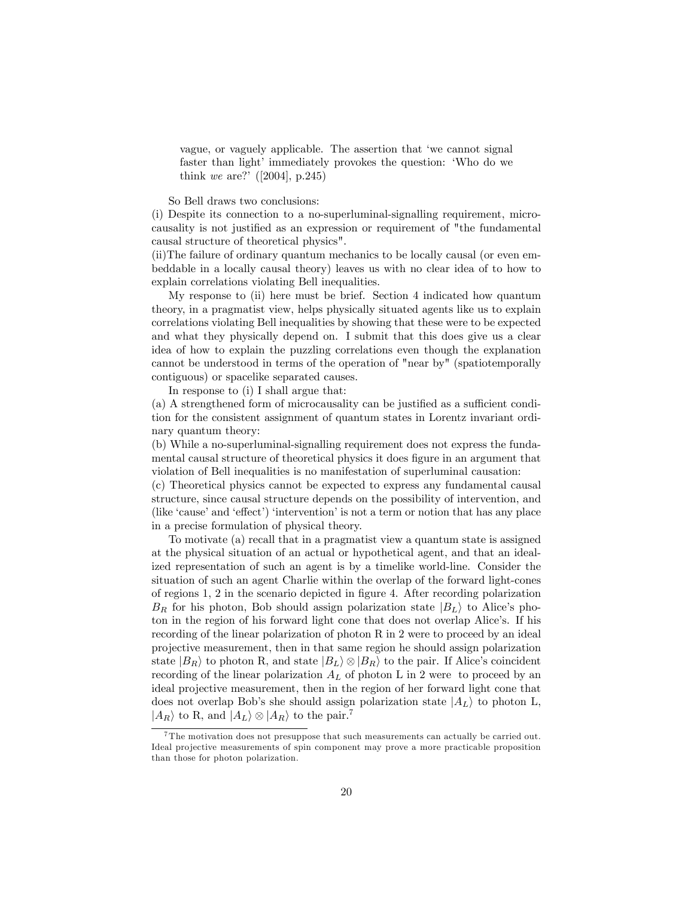vague, or vaguely applicable. The assertion that 'we cannot signal faster than light' immediately provokes the question: 'Who do we think we are?'  $([2004], p.245)$ 

So Bell draws two conclusions:

(i) Despite its connection to a no-superluminal-signalling requirement, microcausality is not justified as an expression or requirement of "the fundamental causal structure of theoretical physics".

(ii)The failure of ordinary quantum mechanics to be locally causal (or even embeddable in a locally causal theory) leaves us with no clear idea of to how to explain correlations violating Bell inequalities.

My response to (ii) here must be brief. Section 4 indicated how quantum theory, in a pragmatist view, helps physically situated agents like us to explain correlations violating Bell inequalities by showing that these were to be expected and what they physically depend on. I submit that this does give us a clear idea of how to explain the puzzling correlations even though the explanation cannot be understood in terms of the operation of "near by" (spatiotemporally contiguous) or spacelike separated causes.

In response to (i) I shall argue that:

 $(a)$  A strengthened form of microcausality can be justified as a sufficient condition for the consistent assignment of quantum states in Lorentz invariant ordinary quantum theory:

(b) While a no-superluminal-signalling requirement does not express the fundamental causal structure of theoretical physics it does figure in an argument that violation of Bell inequalities is no manifestation of superluminal causation:

(c) Theoretical physics cannot be expected to express any fundamental causal structure, since causal structure depends on the possibility of intervention, and (like 'cause' and 'effect') 'intervention' is not a term or notion that has any place in a precise formulation of physical theory.

To motivate (a) recall that in a pragmatist view a quantum state is assigned at the physical situation of an actual or hypothetical agent, and that an idealized representation of such an agent is by a timelike world-line. Consider the situation of such an agent Charlie within the overlap of the forward light-cones of regions 1, 2 in the scenario depicted in figure 4. After recording polarization  $B_R$  for his photon, Bob should assign polarization state  $|B_L\rangle$  to Alice's photon in the region of his forward light cone that does not overlap Aliceís. If his recording of the linear polarization of photon R in 2 were to proceed by an ideal projective measurement, then in that same region he should assign polarization state  $|B_R\rangle$  to photon R, and state  $|B_L\rangle \otimes |B_R\rangle$  to the pair. If Alice's coincident recording of the linear polarization  $A_L$  of photon L in 2 were to proceed by an ideal projective measurement, then in the region of her forward light cone that does not overlap Bob's she should assign polarization state  $|A_L\rangle$  to photon L,  $|A_R\rangle$  to R, and  $|A_L\rangle \otimes |A_R\rangle$  to the pair.<sup>7</sup>

<sup>7</sup> The motivation does not presuppose that such measurements can actually be carried out. Ideal projective measurements of spin component may prove a more practicable proposition than those for photon polarization.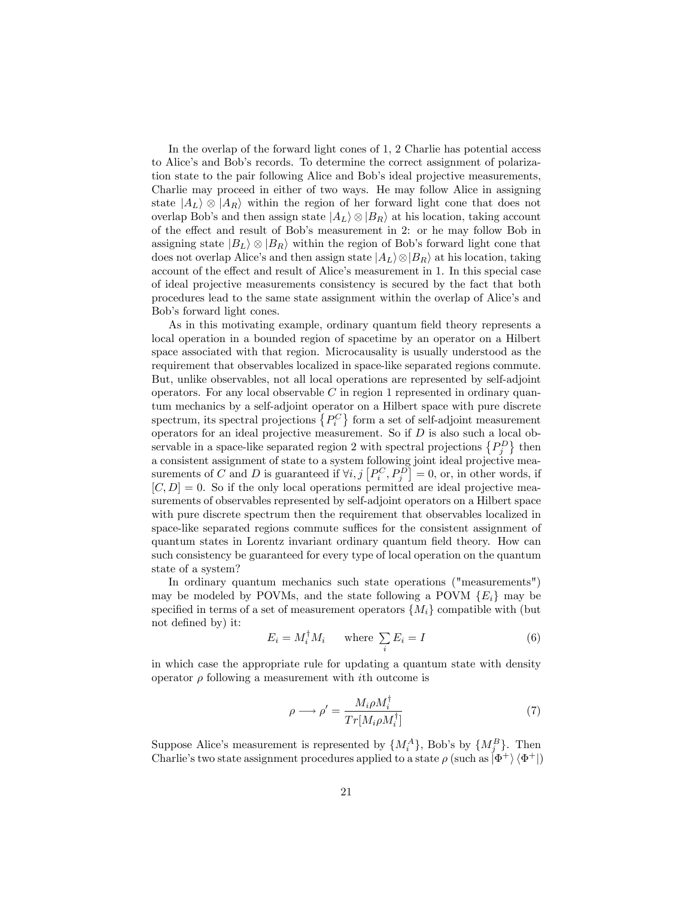In the overlap of the forward light cones of 1, 2 Charlie has potential access to Alice's and Bob's records. To determine the correct assignment of polarization state to the pair following Alice and Bob's ideal projective measurements, Charlie may proceed in either of two ways. He may follow Alice in assigning state  $|A_L\rangle \otimes |A_R\rangle$  within the region of her forward light cone that does not overlap Bob's and then assign state  $|A_L\rangle \otimes |B_R\rangle$  at his location, taking account of the effect and result of Bob's measurement in 2: or he may follow Bob in assigning state  $|B_L\rangle \otimes |B_R\rangle$  within the region of Bob's forward light cone that does not overlap Alice's and then assign state  $|A_L\rangle \otimes |B_R\rangle$  at his location, taking account of the effect and result of Alice's measurement in 1. In this special case of ideal projective measurements consistency is secured by the fact that both procedures lead to the same state assignment within the overlap of Aliceís and Bob's forward light cones.

As in this motivating example, ordinary quantum field theory represents a local operation in a bounded region of spacetime by an operator on a Hilbert space associated with that region. Microcausality is usually understood as the requirement that observables localized in space-like separated regions commute. But, unlike observables, not all local operations are represented by self-adjoint operators. For any local observable  $C$  in region 1 represented in ordinary quantum mechanics by a self-adjoint operator on a Hilbert space with pure discrete spectrum, its spectral projections  $\{P_i^C\}$  form a set of self-adjoint measurement operators for an ideal projective measurement. So if  $D$  is also such a local observable in a space-like separated region 2 with spectral projections  $\{P_j^D\}$  then a consistent assignment of state to a system following joint ideal projective measurements of C and D is guaranteed if  $\forall i, j$   $[P_i^C, P_j^D] = 0$ , or, in other words, if  $[C, D] = 0$ . So if the only local operations permitted are ideal projective measurements of observables represented by self-adjoint operators on a Hilbert space with pure discrete spectrum then the requirement that observables localized in space-like separated regions commute suffices for the consistent assignment of quantum states in Lorentz invariant ordinary quantum field theory. How can such consistency be guaranteed for every type of local operation on the quantum state of a system?

In ordinary quantum mechanics such state operations ("measurements") may be modeled by POVMs, and the state following a POVM  ${E<sub>i</sub>}$  may be specified in terms of a set of measurement operators  $\{M_i\}$  compatible with (but not defined by) it:

$$
E_i = M_i^{\dagger} M_i \quad \text{where } \sum_i E_i = I \tag{6}
$$

in which case the appropriate rule for updating a quantum state with density operator  $\rho$  following a measurement with *i*th outcome is

$$
\rho \longrightarrow \rho' = \frac{M_i \rho M_i^{\dagger}}{Tr[M_i \rho M_i^{\dagger}]}
$$
\n(7)

Suppose Alice's measurement is represented by  $\{M_i^A\}$ , Bob's by  $\{M_j^B\}$ . Then Charlie's two state assignment procedures applied to a state  $\rho$  (such as  $|\Phi^+\rangle\langle\Phi^+|$ )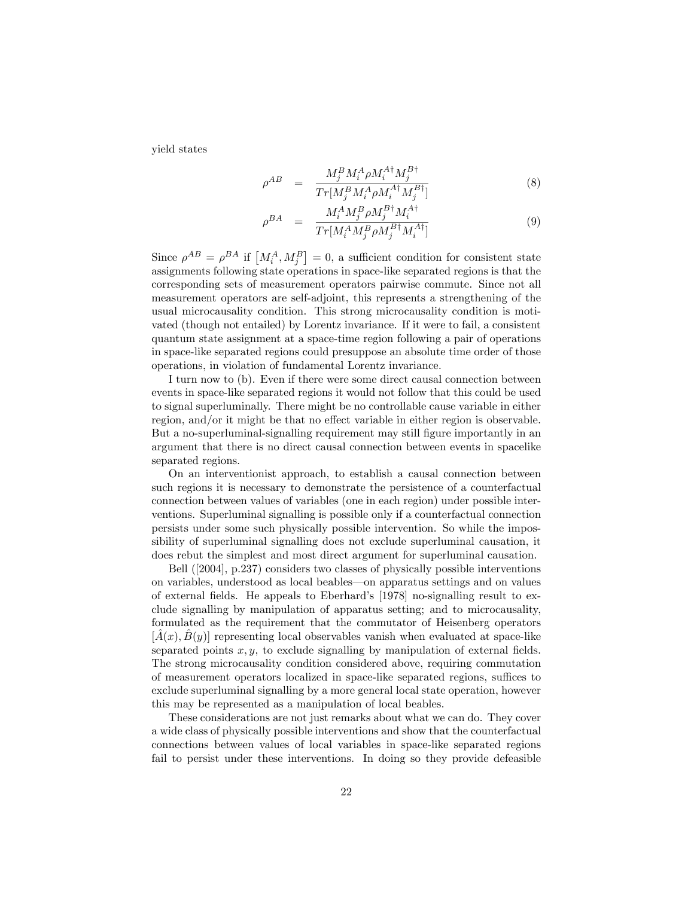yield states

$$
\rho^{AB} = \frac{M_j^B M_i^A \rho M_i^{A\dagger} M_j^{B\dagger}}{Tr[M_j^B M_i^A \rho M_i^{A\dagger} M_j^{B\dagger}]}
$$
\n(8)

$$
\rho^{BA} = \frac{M_i^A M_j^B \rho M_j^{B\dagger} M_i^{A\dagger}}{Tr[M_i^A M_j^B \rho M_j^{B\dagger} M_i^{A\dagger}]}
$$
\n(9)

Since  $\rho^{AB} = \rho^{BA}$  if  $\left[M_i^A, M_j^B\right] = 0$ , a sufficient condition for consistent state assignments following state operations in space-like separated regions is that the corresponding sets of measurement operators pairwise commute. Since not all measurement operators are self-adjoint, this represents a strengthening of the usual microcausality condition. This strong microcausality condition is motivated (though not entailed) by Lorentz invariance. If it were to fail, a consistent quantum state assignment at a space-time region following a pair of operations in space-like separated regions could presuppose an absolute time order of those operations, in violation of fundamental Lorentz invariance.

I turn now to (b). Even if there were some direct causal connection between events in space-like separated regions it would not follow that this could be used to signal superluminally. There might be no controllable cause variable in either region, and/or it might be that no effect variable in either region is observable. But a no-superluminal-signalling requirement may still Ögure importantly in an argument that there is no direct causal connection between events in spacelike separated regions.

On an interventionist approach, to establish a causal connection between such regions it is necessary to demonstrate the persistence of a counterfactual connection between values of variables (one in each region) under possible interventions. Superluminal signalling is possible only if a counterfactual connection persists under some such physically possible intervention. So while the impossibility of superluminal signalling does not exclude superluminal causation, it does rebut the simplest and most direct argument for superluminal causation.

Bell ([2004], p.237) considers two classes of physically possible interventions on variables, understood as local beables—on apparatus settings and on values of external fields. He appeals to Eberhard's [1978] no-signalling result to exclude signalling by manipulation of apparatus setting; and to microcausality, formulated as the requirement that the commutator of Heisenberg operators  $[A(x), B(y)]$  representing local observables vanish when evaluated at space-like separated points  $x, y$ , to exclude signalling by manipulation of external fields. The strong microcausality condition considered above, requiring commutation of measurement operators localized in space-like separated regions, suffices to exclude superluminal signalling by a more general local state operation, however this may be represented as a manipulation of local beables.

These considerations are not just remarks about what we can do. They cover a wide class of physically possible interventions and show that the counterfactual connections between values of local variables in space-like separated regions fail to persist under these interventions. In doing so they provide defeasible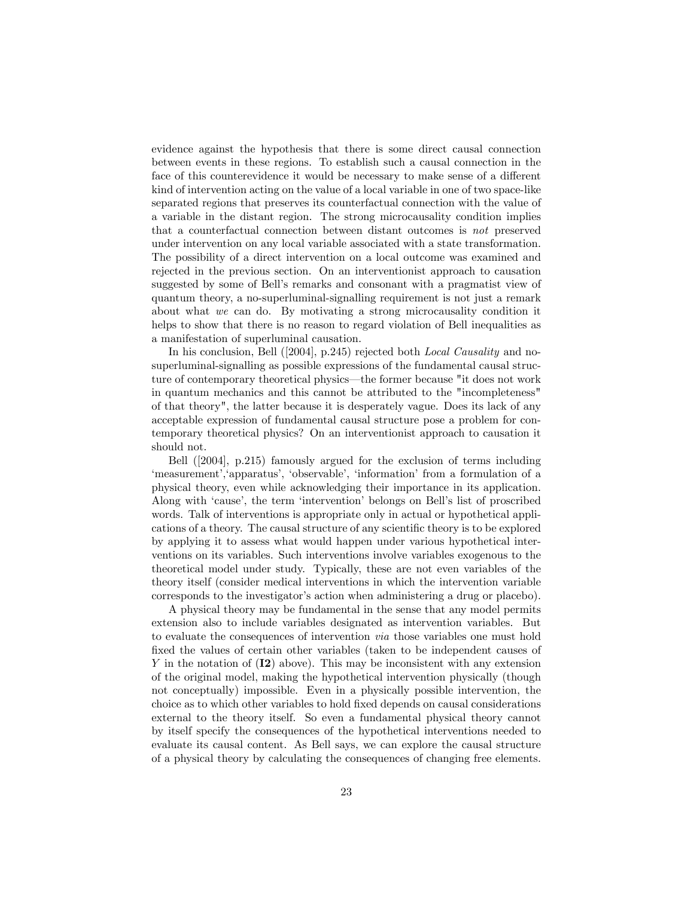evidence against the hypothesis that there is some direct causal connection between events in these regions. To establish such a causal connection in the face of this counterevidence it would be necessary to make sense of a different kind of intervention acting on the value of a local variable in one of two space-like separated regions that preserves its counterfactual connection with the value of a variable in the distant region. The strong microcausality condition implies that a counterfactual connection between distant outcomes is not preserved under intervention on any local variable associated with a state transformation. The possibility of a direct intervention on a local outcome was examined and rejected in the previous section. On an interventionist approach to causation suggested by some of Bellís remarks and consonant with a pragmatist view of quantum theory, a no-superluminal-signalling requirement is not just a remark about what we can do. By motivating a strong microcausality condition it helps to show that there is no reason to regard violation of Bell inequalities as a manifestation of superluminal causation.

In his conclusion, Bell ([2004], p.245) rejected both *Local Causality* and nosuperluminal-signalling as possible expressions of the fundamental causal structure of contemporary theoretical physics—the former because "it does not work in quantum mechanics and this cannot be attributed to the "incompleteness" of that theory", the latter because it is desperately vague. Does its lack of any acceptable expression of fundamental causal structure pose a problem for contemporary theoretical physics? On an interventionist approach to causation it should not.

Bell ([2004], p.215) famously argued for the exclusion of terms including 'measurement', 'apparatus', 'observable', 'information' from a formulation of a physical theory, even while acknowledging their importance in its application. Along with 'cause', the term 'intervention' belongs on Bell's list of proscribed words. Talk of interventions is appropriate only in actual or hypothetical applications of a theory. The causal structure of any scientific theory is to be explored by applying it to assess what would happen under various hypothetical interventions on its variables. Such interventions involve variables exogenous to the theoretical model under study. Typically, these are not even variables of the theory itself (consider medical interventions in which the intervention variable corresponds to the investigator's action when administering a drug or placebo).

A physical theory may be fundamental in the sense that any model permits extension also to include variables designated as intervention variables. But to evaluate the consequences of intervention via those variables one must hold fixed the values of certain other variables (taken to be independent causes of Y in the notation of  $(I2)$  above). This may be inconsistent with any extension of the original model, making the hypothetical intervention physically (though not conceptually) impossible. Even in a physically possible intervention, the choice as to which other variables to hold Öxed depends on causal considerations external to the theory itself. So even a fundamental physical theory cannot by itself specify the consequences of the hypothetical interventions needed to evaluate its causal content. As Bell says, we can explore the causal structure of a physical theory by calculating the consequences of changing free elements.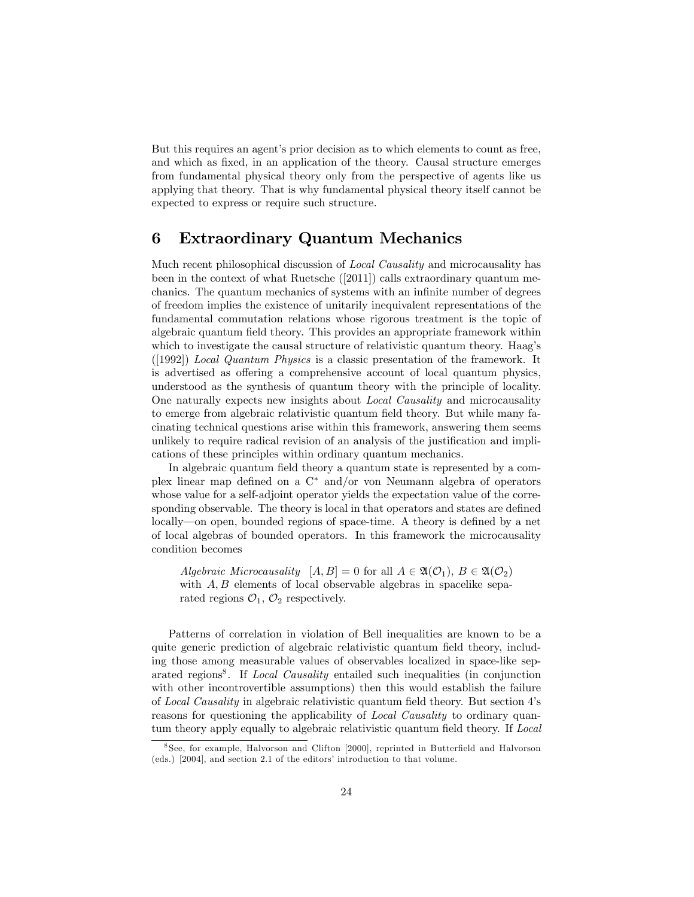But this requires an agent's prior decision as to which elements to count as free, and which as fixed, in an application of the theory. Causal structure emerges from fundamental physical theory only from the perspective of agents like us applying that theory. That is why fundamental physical theory itself cannot be expected to express or require such structure.

# 6 Extraordinary Quantum Mechanics

Much recent philosophical discussion of Local Causality and microcausality has been in the context of what Ruetsche ([2011]) calls extraordinary quantum mechanics. The quantum mechanics of systems with an infinite number of degrees of freedom implies the existence of unitarily inequivalent representations of the fundamental commutation relations whose rigorous treatment is the topic of algebraic quantum field theory. This provides an appropriate framework within which to investigate the causal structure of relativistic quantum theory. Haag's ([1992]) Local Quantum Physics is a classic presentation of the framework. It is advertised as offering a comprehensive account of local quantum physics, understood as the synthesis of quantum theory with the principle of locality. One naturally expects new insights about Local Causality and microcausality to emerge from algebraic relativistic quantum field theory. But while many facinating technical questions arise within this framework, answering them seems unlikely to require radical revision of an analysis of the justification and implications of these principles within ordinary quantum mechanics.

In algebraic quantum field theory a quantum state is represented by a complex linear map defined on a  $C^*$  and/or von Neumann algebra of operators whose value for a self-adjoint operator yields the expectation value of the corresponding observable. The theory is local in that operators and states are defined locally—on open, bounded regions of space-time. A theory is defined by a net of local algebras of bounded operators. In this framework the microcausality condition becomes

Algebraic Microcausality  $[A, B] = 0$  for all  $A \in \mathfrak{A}(\mathcal{O}_1), B \in \mathfrak{A}(\mathcal{O}_2)$ with  $A, B$  elements of local observable algebras in spacelike separated regions  $\mathcal{O}_1$ ,  $\mathcal{O}_2$  respectively.

Patterns of correlation in violation of Bell inequalities are known to be a quite generic prediction of algebraic relativistic quantum field theory, including those among measurable values of observables localized in space-like separated regions<sup>8</sup>. If *Local Causality* entailed such inequalities (in conjunction with other incontrovertible assumptions) then this would establish the failure of Local Causality in algebraic relativistic quantum field theory. But section 4's reasons for questioning the applicability of *Local Causality* to ordinary quantum theory apply equally to algebraic relativistic quantum field theory. If Local

 $8$  See, for example, Halvorson and Clifton [2000], reprinted in Butterfield and Halvorson (eds.)  $[2004]$ , and section 2.1 of the editors' introduction to that volume.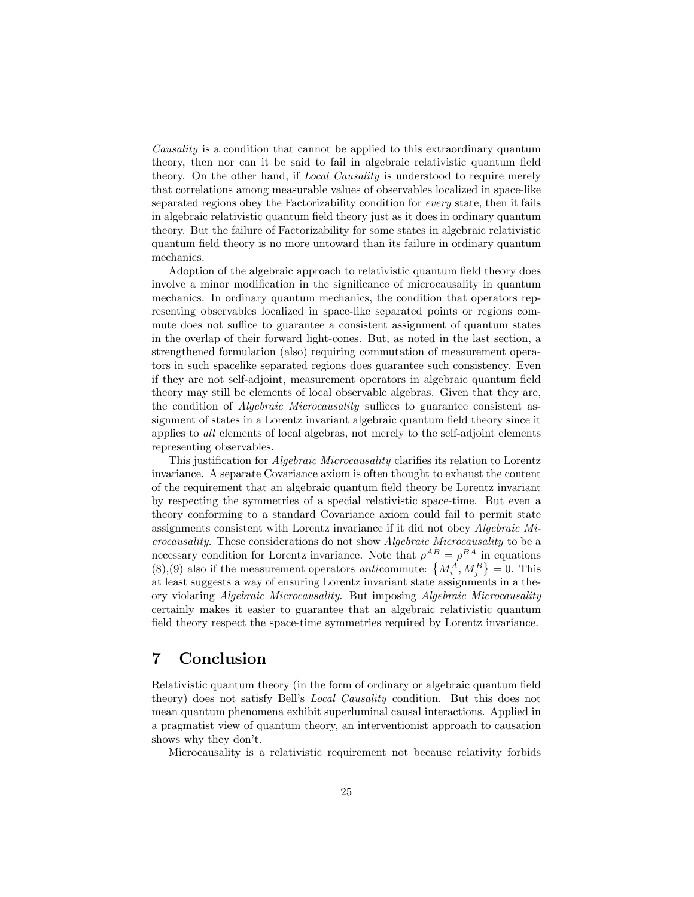Causality is a condition that cannot be applied to this extraordinary quantum theory, then nor can it be said to fail in algebraic relativistic quantum field theory. On the other hand, if *Local Causality* is understood to require merely that correlations among measurable values of observables localized in space-like separated regions obey the Factorizability condition for every state, then it fails in algebraic relativistic quantum field theory just as it does in ordinary quantum theory. But the failure of Factorizability for some states in algebraic relativistic quantum field theory is no more untoward than its failure in ordinary quantum mechanics.

Adoption of the algebraic approach to relativistic quantum field theory does involve a minor modification in the significance of microcausality in quantum mechanics. In ordinary quantum mechanics, the condition that operators representing observables localized in space-like separated points or regions commute does not suffice to guarantee a consistent assignment of quantum states in the overlap of their forward light-cones. But, as noted in the last section, a strengthened formulation (also) requiring commutation of measurement operators in such spacelike separated regions does guarantee such consistency. Even if they are not self-adjoint, measurement operators in algebraic quantum field theory may still be elements of local observable algebras. Given that they are, the condition of *Algebraic Microcausality* suffices to guarantee consistent assignment of states in a Lorentz invariant algebraic quantum field theory since it applies to all elements of local algebras, not merely to the self-adjoint elements representing observables.

This justification for *Algebraic Microcausality* clarifies its relation to Lorentz invariance. A separate Covariance axiom is often thought to exhaust the content of the requirement that an algebraic quantum Öeld theory be Lorentz invariant by respecting the symmetries of a special relativistic space-time. But even a theory conforming to a standard Covariance axiom could fail to permit state assignments consistent with Lorentz invariance if it did not obey Algebraic Microcausality. These considerations do not show Algebraic Microcausality to be a necessary condition for Lorentz invariance. Note that  $\rho^{AB} = \rho^{BA}$  in equations  $(8),(9)$  also if the measurement operators anticommute:  $\{M_i^A, M_j^B\} = 0$ . This at least suggests a way of ensuring Lorentz invariant state assignments in a theory violating Algebraic Microcausality. But imposing Algebraic Microcausality certainly makes it easier to guarantee that an algebraic relativistic quantum field theory respect the space-time symmetries required by Lorentz invariance.

# 7 Conclusion

Relativistic quantum theory (in the form of ordinary or algebraic quantum field theory) does not satisfy Bell's *Local Causality* condition. But this does not mean quantum phenomena exhibit superluminal causal interactions. Applied in a pragmatist view of quantum theory, an interventionist approach to causation shows why they don't.

Microcausality is a relativistic requirement not because relativity forbids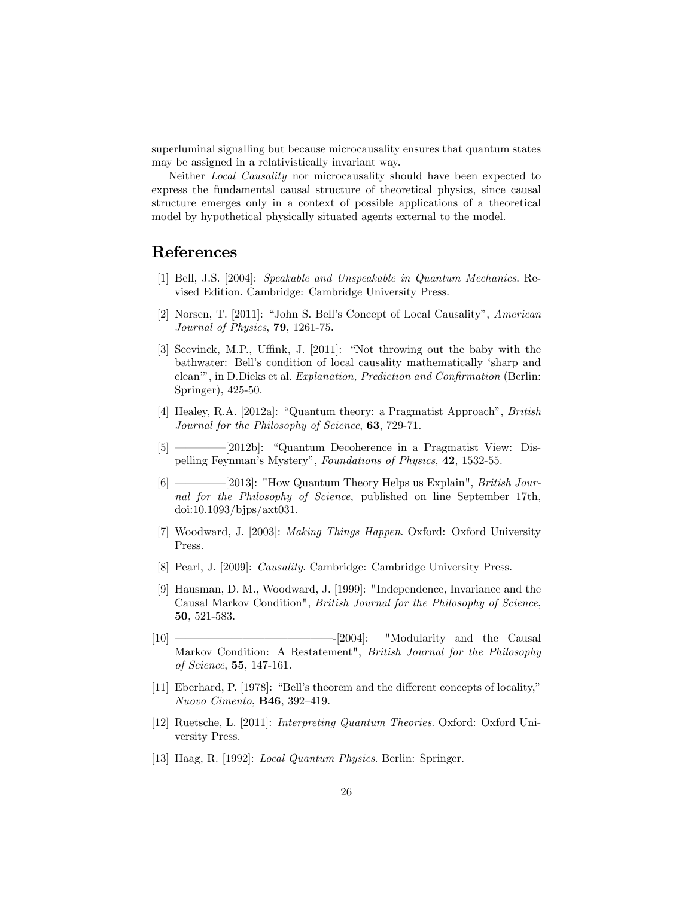superluminal signalling but because microcausality ensures that quantum states may be assigned in a relativistically invariant way.

Neither Local Causality nor microcausality should have been expected to express the fundamental causal structure of theoretical physics, since causal structure emerges only in a context of possible applications of a theoretical model by hypothetical physically situated agents external to the model.

# References

- [1] Bell, J.S. [2004]: Speakable and Unspeakable in Quantum Mechanics. Revised Edition. Cambridge: Cambridge University Press.
- [2] Norsen, T.  $[2011]$ : "John S. Bell's Concept of Local Causality", American Journal of Physics, 79, 1261-75.
- [3] Seevinck, M.P., Uffink, J. [2011]: "Not throwing out the baby with the bathwater: Bellís condition of local causality mathematically ësharp and clean<sup>37</sup>, in D.Dieks et al. Explanation, Prediction and Confirmation (Berlin: Springer), 425-50.
- [4] Healey, R.A. [2012a]: "Quantum theory: a Pragmatist Approach", British Journal for the Philosophy of Science, 63, 729-71.
- [5] <sup>(5]</sup> <sup>(5]</sup> <sup>(2012b)</sup>: "Quantum Decoherence in a Pragmatist View: Dispelling Feynman's Mystery", Foundations of Physics, 42, 1532-55.
- $[6]$  <sup>[6]</sup> <sup>[2013]:</sup> "How Quantum Theory Helps us Explain", *British Jour*nal for the Philosophy of Science, published on line September 17th, doi:10.1093/bjps/axt031.
- [7] Woodward, J. [2003]: Making Things Happen. Oxford: Oxford University Press.
- [8] Pearl, J. [2009]: Causality. Cambridge: Cambridge University Press.
- [9] Hausman, D. M., Woodward, J. [1999]: "Independence, Invariance and the Causal Markov Condition", British Journal for the Philosophy of Science, 50, 521-583.
- $[10]$   $\longrightarrow$   $[2004]$ : "Modularity and the Causal" Markov Condition: A Restatement", British Journal for the Philosophy of Science, 55, 147-161.
- $[11]$  Eberhard, P.  $[1978]$ : "Bell's theorem and the different concepts of locality,"  $Nuovo$  Cimento, **B46**, 392-419.
- [12] Ruetsche, L. [2011]: Interpreting Quantum Theories. Oxford: Oxford University Press.
- [13] Haag, R. [1992]: Local Quantum Physics. Berlin: Springer.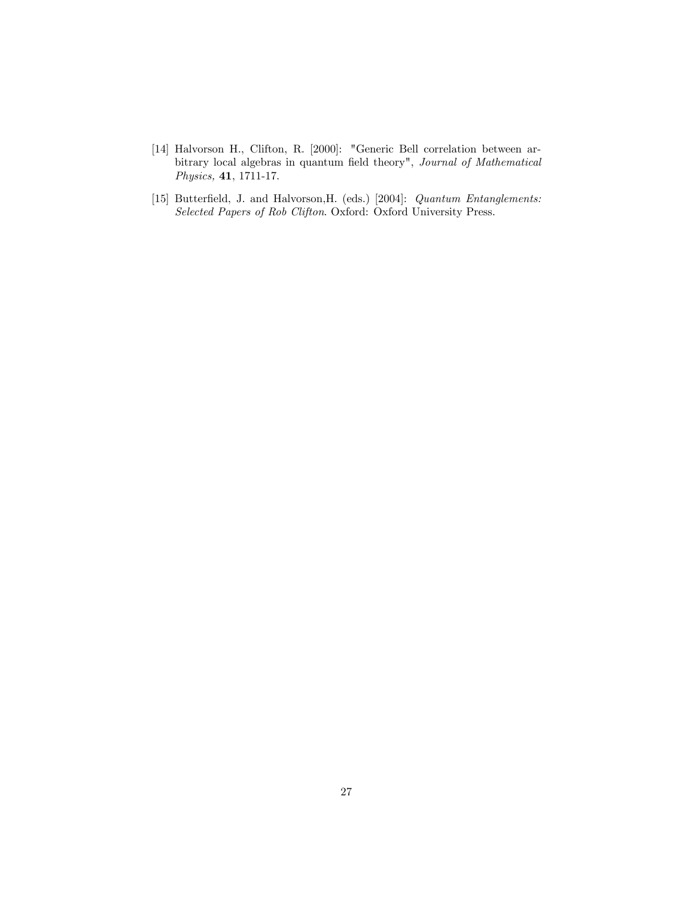- [14] Halvorson H., Clifton, R. [2000]: "Generic Bell correlation between arbitrary local algebras in quantum field theory", Journal of Mathematical Physics, 41, 1711-17.
- [15] Butterfield, J. and Halvorson,H. (eds.) [2004]: Quantum Entanglements: Selected Papers of Rob Clifton. Oxford: Oxford University Press.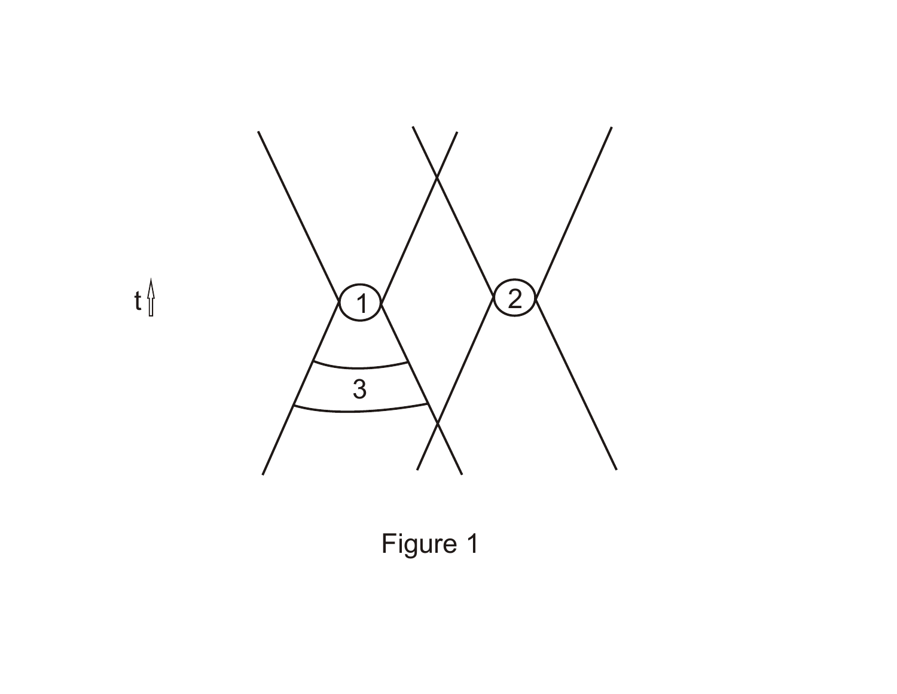

 $t \nbrace{\mathbf{r}}$ 

Figure 1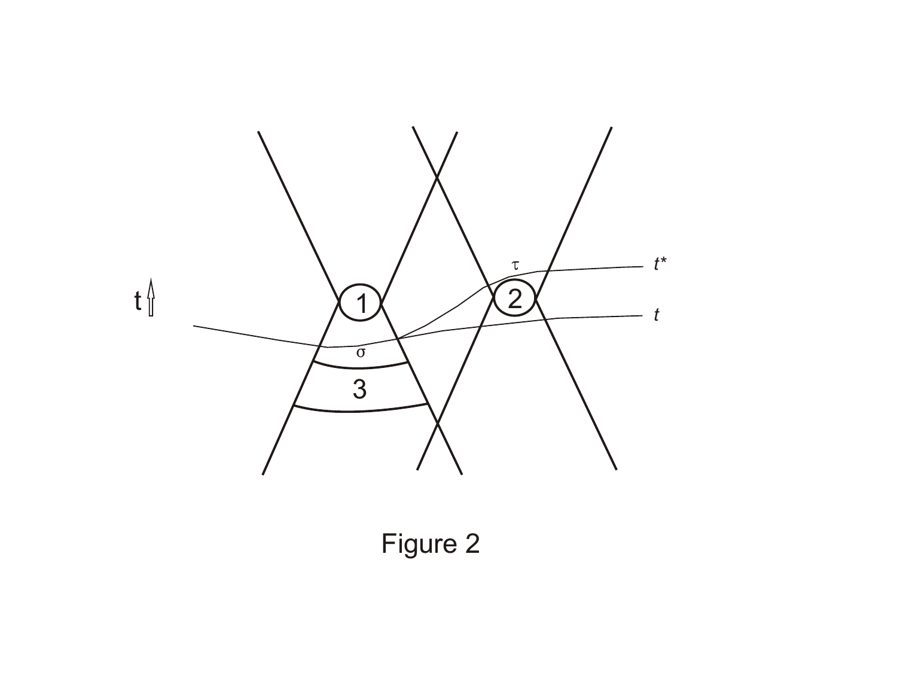

Figure 2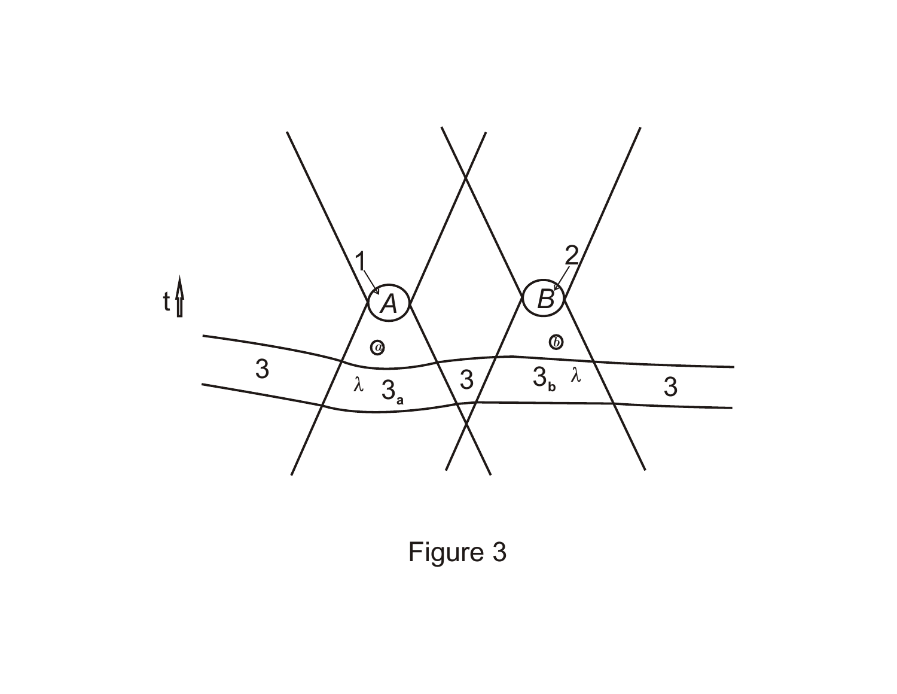

Figure 3